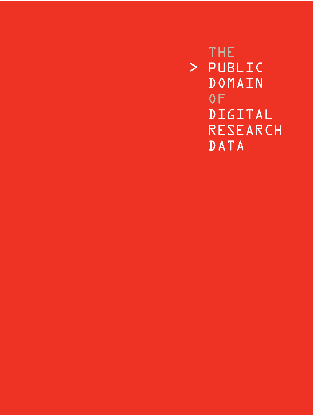THE > PUBLIC DOMAIN OF DIGITAL RESEARCH DATA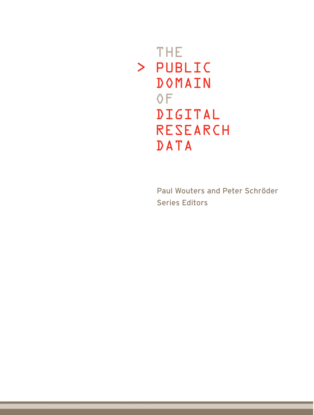# THE > PUBLIC DOMAIN OF DIGITAL RESEARCH DATA

Paul Wouters and Peter Schröder Series Editors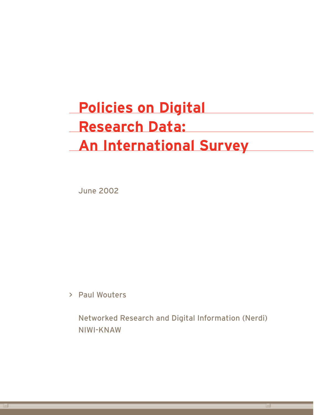# **Policies on Digital Research Data: An International Survey**

June 2002

> Paul Wouters

Networked Research and Digital Information (Nerdi) NIWI-KNAW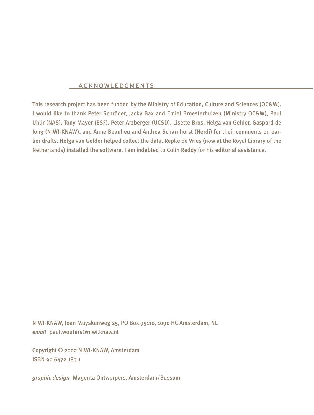#### ACKNOWLEDGMENTS

This research project has been funded by the Ministry of Education, Culture and Sciences (OC&W). I would like to thank Peter Schröder, Jacky Bax and Emiel Broesterhuizen (Ministry OC&W), Paul Uhlir (NAS), Tony Mayer (ESF), Peter Arzberger (UCSD), Lisette Bros, Helga van Gelder, Gaspard de Jong (NIWI-KNAW), and Anne Beaulieu and Andrea Scharnhorst (Nerdi) for their comments on earlier drafts. Helga van Gelder helped collect the data. Repke de Vries (now at the Royal Library of the Netherlands) installed the software. I am indebted to Colin Reddy for his editorial assistance.

NIWI-KNAW, Joan Muyskenweg 25, PO Box 95110, 1090 HC Amsterdam, NL *email* paul.wouters@niwi.knaw.nl

Copyright © 2002 NIWI-KNAW, Amsterdam ISBN 90 6472 183 1

*graphic design* Magenta Ontwerpers, Amsterdam/Bussum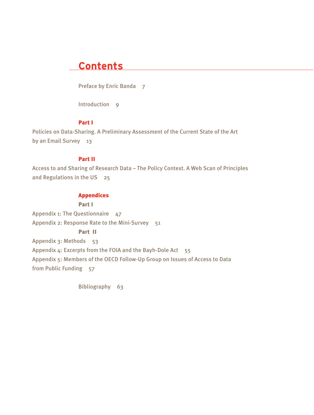### **Contents**

Preface by Enric Banda 7

Introduction 9

### Part I

Policies on Data-Sharing. A Preliminary Assessment of the Current State of the Art by an Email Survey 13

### Part II

Access to and Sharing of Research Data – The Policy Context. A Web Scan of Principles and Regulations in the US 25

#### Appendices

#### Part I

Appendix 1: The Questionnaire  $47$ Appendix 2: Response Rate to the Mini-Survey 51 Part II Appendix 3: Methods 53 Appendix 4: Excerpts from the FOIA and the Bayh-Dole Act 55 Appendix 5: Members of the OECD Follow-Up Group on Issues of Access to Data from Public Funding 57

Bibliography 63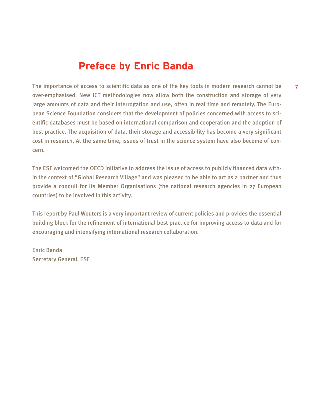### **Preface by Enric Banda**

The importance of access to scientific data as one of the key tools in modern research cannot be over-emphasised. New ICT methodologies now allow both the construction and storage of very large amounts of data and their interrogation and use, often in real time and remotely. The European Science Foundation considers that the development of policies concerned with access to scientific databases must be based on international comparison and cooperation and the adoption of best practice. The acquisition of data, their storage and accessibility has become a very significant cost in research. At the same time, issues of trust in the science system have also become of concern.

The ESF welcomed the OECD initiative to address the issue of access to publicly financed data within the context of "Global Research Village" and was pleased to be able to act as a partner and thus provide a conduit for its Member Organisations (the national research agencies in 27 European countries) to be involved in this activity.

This report by Paul Wouters is a very important review of current policies and provides the essential building block for the refinement of international best practice for improving access to data and for encouraging and intensifying international research collaboration.

Enric Banda Secretary General, ESF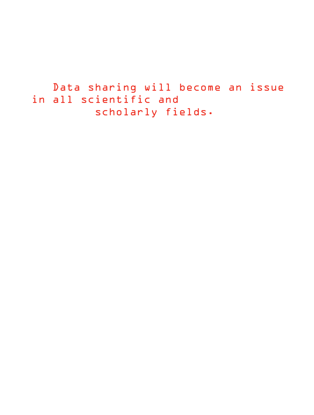```
Data sharing will become an issue
in all scientific and 
         scholarly fields.
```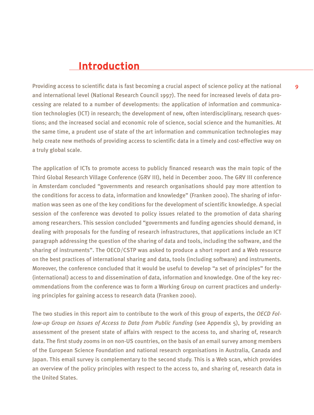### **Introduction**

Providing access to scientific data is fast becoming a crucial aspect of science policy at the national and international level (National Research Council 1997). The need for increased levels of data processing are related to a number of developments: the application of information and communication technologies (ICT) in research; the development of new, often interdisciplinary, research questions; and the increased social and economic role of science, social science and the humanities. At the same time, a prudent use of state of the art information and communication technologies may help create new methods of providing access to scientific data in a timely and cost-effective way on a truly global scale.

The application of ICTs to promote access to publicly financed research was the main topic of the Third Global Research Village Conference (GRV III), held in December 2000. The GRV III conference in Amsterdam concluded "governments and research organisations should pay more attention to the conditions for access to data, information and knowledge" (Franken 2000). The sharing of information was seen as one of the key conditions for the development of scientific knowledge. A special session of the conference was devoted to policy issues related to the promotion of data sharing among researchers. This session concluded "governments and funding agencies should demand, in dealing with proposals for the funding of research infrastructures, that applications include an ICT paragraph addressing the question of the sharing of data and tools, including the software, and the sharing of instruments". The OECD/CSTP was asked to produce a short report and a Web resource on the best practices of international sharing and data, tools (including software) and instruments. Moreover, the conference concluded that it would be useful to develop "a set of principles" for the (international) access to and dissemination of data, information and knowledge. One of the key recommendations from the conference was to form a Working Group on current practices and underlying principles for gaining access to research data (Franken 2000).

The two studies in this report aim to contribute to the work of this group of experts, the *OECD Follow-up Group on Issues of Access to Data from Public Funding* (see Appendix 5), by providing an assessment of the present state of affairs with respect to the access to, and sharing of, research data. The first study zooms in on non-US countries, on the basis of an email survey among members of the European Science Foundation and national research organisations in Australia, Canada and Japan. This email survey is complementary to the second study. This is a Web scan, which provides an overview of the policy principles with respect to the access to, and sharing of, research data in the United States.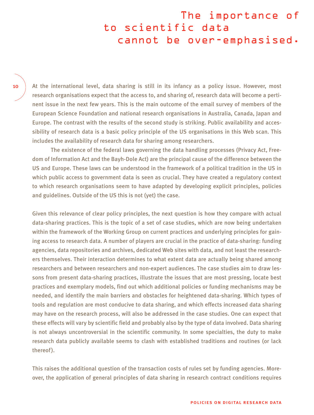## The importance of to scientific data cannot be over-emphasised.

10

At the international level, data sharing is still in its infancy as a policy issue. However, most research organisations expect that the access to, and sharing of, research data will become a pertinent issue in the next few years. This is the main outcome of the email survey of members of the European Science Foundation and national research organisations in Australia, Canada, Japan and Europe. The contrast with the results of the second study is striking. Public availability and accessibility of research data is a basic policy principle of the US organisations in this Web scan. This includes the availability of research data for sharing among researchers.

The existence of the federal laws governing the data handling processes (Privacy Act, Freedom of Information Act and the Bayh-Dole Act) are the principal cause of the difference between the US and Europe. These laws can be understood in the framework of a political tradition in the US in which public access to government data is seen as crucial. They have created a regulatory context to which research organisations seem to have adapted by developing explicit principles, policies and guidelines. Outside of the US this is not (yet) the case.

Given this relevance of clear policy principles, the next question is how they compare with actual data-sharing practices. This is the topic of a set of case studies, which are now being undertaken within the framework of the Working Group on current practices and underlying principles for gaining access to research data. A number of players are crucial in the practice of data-sharing: funding agencies, data repositories and archives, dedicated Web sites with data, and not least the researchers themselves. Their interaction determines to what extent data are actually being shared among researchers and between researchers and non-expert audiences. The case studies aim to draw lessons from present data-sharing practices, illustrate the issues that are most pressing, locate best practices and exemplary models, find out which additional policies or funding mechanisms may be needed, and identify the main barriers and obstacles for heightened data-sharing. Which types of tools and regulation are most conducive to data sharing, and which effects increased data sharing may have on the research process, will also be addressed in the case studies. One can expect that these effects will vary by scientific field and probably also by the type of data involved. Data sharing is not always uncontroversial in the scientific community. In some specialties, the duty to make research data publicly available seems to clash with established traditions and routines (or lack thereof).

This raises the additional question of the transaction costs of rules set by funding agencies. Moreover, the application of general principles of data sharing in research contract conditions requires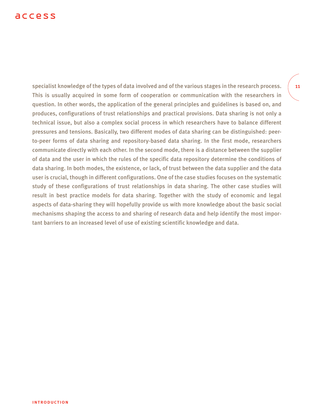### access

specialist knowledge of the types of data involved and of the various stages in the research process. This is usually acquired in some form of cooperation or communication with the researchers in question. In other words, the application of the general principles and guidelines is based on, and produces, configurations of trust relationships and practical provisions. Data sharing is not only a technical issue, but also a complex social process in which researchers have to balance different pressures and tensions. Basically, two different modes of data sharing can be distinguished: peerto-peer forms of data sharing and repository-based data sharing. In the first mode, researchers communicate directly with each other. In the second mode, there is a distance between the supplier of data and the user in which the rules of the specific data repository determine the conditions of data sharing. In both modes, the existence, or lack, of trust between the data supplier and the data user is crucial, though in different configurations. One of the case studies focuses on the systematic study of these configurations of trust relationships in data sharing. The other case studies will result in best practice models for data sharing. Together with the study of economic and legal aspects of data-sharing they will hopefully provide us with more knowledge about the basic social mechanisms shaping the access to and sharing of research data and help identify the most important barriers to an increased level of use of existing scientific knowledge and data.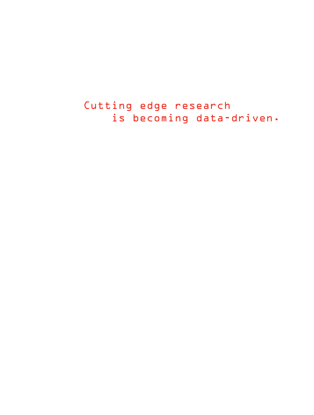Cutting edge research is becoming data-driven.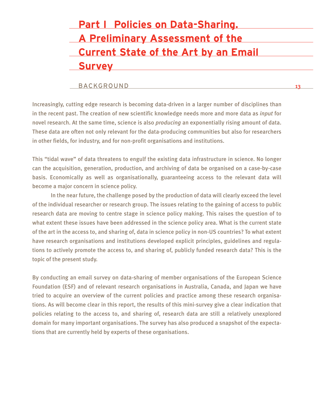# **Part I Policies on Data-Sharing. A Preliminary Assessment of the Current State of the Art by an Email Survey**

#### BACKGROUND

Increasingly, cutting edge research is becoming data-driven in a larger number of disciplines than in the recent past. The creation of new scientific knowledge needs more and more data as *input* for novel research. At the same time, science is also *producing* an exponentially rising amount of data. These data are often not only relevant for the data-producing communities but also for researchers in other fields, for industry, and for non-profit organisations and institutions.

This "tidal wave" of data threatens to engulf the existing data infrastructure in science. No longer can the acquisition, generation, production, and archiving of data be organised on a case-by-case basis. Economically as well as organisationally, guaranteeing access to the relevant data will become a major concern in science policy.

In the near future, the challenge posed by the production of data will clearly exceed the level of the individual researcher or research group. The issues relating to the gaining of access to public research data are moving to centre stage in science policy making. This raises the question of to what extent these issues have been addressed in the science policy area. What is the current state of the art in the access to, and sharing of, data in science policy in non-US countries? To what extent have research organisations and institutions developed explicit principles, guidelines and regulations to actively promote the access to, and sharing of, publicly funded research data? This is the topic of the present study.

By conducting an email survey on data-sharing of member organisations of the European Science Foundation (ESF) and of relevant research organisations in Australia, Canada, and Japan we have tried to acquire an overview of the current policies and practice among these research organisations. As will become clear in this report, the results of this mini-survey give a clear indication that policies relating to the access to, and sharing of, research data are still a relatively unexplored domain for many important organisations. The survey has also produced a snapshot of the expectations that are currently held by experts of these organisations.

13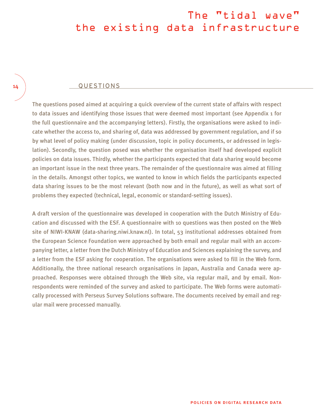# The "tidal wave" the existing data infrastructure

#### QUESTIONS

The questions posed aimed at acquiring a quick overview of the current state of affairs with respect to data issues and identifying those issues that were deemed most important (see Appendix 1 for the full questionnaire and the accompanying letters). Firstly, the organisations were asked to indicate whether the access to, and sharing of, data was addressed by government regulation, and if so by what level of policy making (under discussion, topic in policy documents, or addressed in legislation). Secondly, the question posed was whether the organisation itself had developed explicit policies on data issues. Thirdly, whether the participants expected that data sharing would become an important issue in the next three years. The remainder of the questionnaire was aimed at filling in the details. Amongst other topics, we wanted to know in which fields the participants expected data sharing issues to be the most relevant (both now and in the future), as well as what sort of problems they expected (technical, legal, economic or standard-setting issues).

A draft version of the questionnaire was developed in cooperation with the Dutch Ministry of Education and discussed with the ESF. A questionnaire with 10 questions was then posted on the Web site of NIWI-KNAW (data-sharing.niwi.knaw.nl). In total, 53 institutional addresses obtained from the European Science Foundation were approached by both email and regular mail with an accompanying letter, a letter from the Dutch Ministry of Education and Sciences explaining the survey, and a letter from the ESF asking for cooperation. The organisations were asked to fill in the Web form. Additionally, the three national research organisations in Japan, Australia and Canada were approached. Responses were obtained through the Web site, via regular mail, and by email. Nonrespondents were reminded of the survey and asked to participate. The Web forms were automatically processed with Perseus Survey Solutions software. The documents received by email and regular mail were processed manually.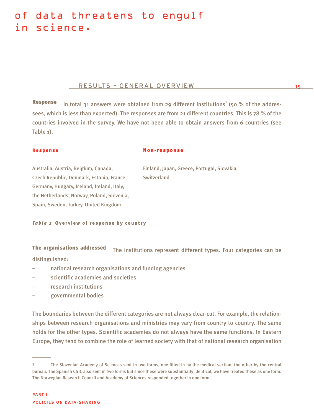### of data threatens to engulf in science.

#### RESULTS – GENERAL OVERVIEW

**Response** In total 31 answers were obtained from 29 different institutions<sup>1</sup> (50 % of the addressees, which is less than expected). The responses are from 21 different countries. This is 78 % of the countries involved in the survey. We have not been able to obtain answers from 6 countries (see Table 1).

#### Response

#### Non-response

Australia, Austria, Belgium, Canada, Czech Republic, Denmark, Estonia, France, Germany, Hungary, Iceland, Ireland, Italy, the Netherlands, Norway, Poland, Slovenia, Spain, Sweden, Turkey, United Kingdom

Finland, Japan, Greece, Portugal, Slovakia, **Switzerland** 

15

*Table 1* Overview of response by country

The organisations addressed The institutions represent different types. Four categories can be distinguished:

- national research organisations and funding agencies
- scientific academies and societies
- research institutions
- governmental bodies

The boundaries between the different categories are not always clear-cut. For example, the relationships between research organisations and ministries may vary from country to country. The same holds for the other types. Scientific academies do not always have the same functions. In Eastern Europe, they tend to combine the role of learned society with that of national research organisation

<sup>1</sup> The Slovenian Academy of Sciences sent in two forms, one filled in by the medical section, the other by the central bureau. The Spanish CSIC also sent in two forms but since these were substantially identical, we have treated these as one form. The Norwegian Research Council and Academy of Sciences responded together in one form.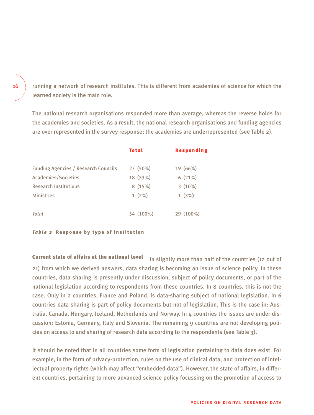running a network of research institutes. This is different from academies of science for which the learned society is the main role.

The national research organisations responded more than average, whereas the reverse holds for the academies and societies. As a result, the national research organisations and funding agencies are over represented in the survey response; the academies are underrepresented (see Table 2).

|                                             | <b>Total</b> | <b>Responding</b> |
|---------------------------------------------|--------------|-------------------|
| <b>Funding Agencies / Research Councils</b> | 27 (50%)     | 19 (66%)          |
| Academies/Societies                         | 18 (33%)     | 6(21%)            |
| <b>Research Institutions</b>                | 8(15%)       | $3(10\%)$         |
| <b>Ministries</b>                           | $1(2\%)$     | 1(3%)             |
| <b>Total</b>                                | 54 (100%)    | 29 (100%)         |

*Table 2* Response by type of institution

Current state of affairs at the national level In slightly more than half of the countries (12 out of 21) from which we derived answers, data sharing is becoming an issue of science policy. In these countries, data sharing is presently under discussion, subject of policy documents, or part of the national legislation according to respondents from these countries. In 8 countries, this is not the case. Only in 2 countries, France and Poland, is data-sharing subject of national legislation. In 6 countries data sharing is part of policy documents but not of legislation. This is the case in: Australia, Canada, Hungary, Iceland, Netherlands and Norway. In 4 countries the issues are under discussion: Estonia, Germany, Italy and Slovenia. The remaining 9 countries are not developing policies on access to and sharing of research data according to the respondents (see Table 3).

It should be noted that in all countries some form of legislation pertaining to data does exist. For example, in the form of privacy-protection, rules on the use of clinical data, and protection of intellectual property rights (which may affect "embedded data"). However, the state of affairs, in different countries, pertaining to more advanced science policy focussing on the promotion of access to

#### 16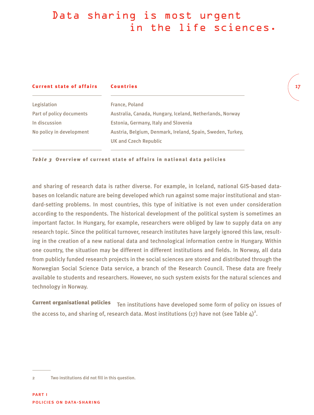# Data sharing is most urgent in the life sciences.

17

| <b>Current state of affairs</b> | <b>Countries</b>                                           |
|---------------------------------|------------------------------------------------------------|
| Legislation                     | France, Poland                                             |
| Part of policy documents        | Australia, Canada, Hungary, Iceland, Netherlands, Norway   |
| In discussion                   | Estonia, Germany, Italy and Slovenia                       |
| No policy in development        | Austria, Belgium, Denmark, Ireland, Spain, Sweden, Turkey, |
|                                 | <b>UK and Czech Republic</b>                               |

*Table 3* Overview of current state of affairs in national data policies

and sharing of research data is rather diverse. For example, in Iceland, national GIS-based databases on Icelandic nature are being developed which run against some major institutional and standard-setting problems. In most countries, this type of initiative is not even under consideration according to the respondents. The historical development of the political system is sometimes an important factor. In Hungary, for example, researchers were obliged by law to supply data on any research topic. Since the political turnover, research institutes have largely ignored this law, resulting in the creation of a new national data and technological information centre in Hungary. Within one country, the situation may be different in different institutions and fields. In Norway, all data from publicly funded research projects in the social sciences are stored and distributed through the Norwegian Social Science Data service, a branch of the Research Council. These data are freely available to students and researchers. However, no such system exists for the natural sciences and technology in Norway.

Current organisational policies Ten institutions have developed some form of policy on issues of the access to, and sharing of, research data. Most institutions (17) have not (see Table 4) $^2$ .

<sup>2</sup> Two institutions did not fill in this question.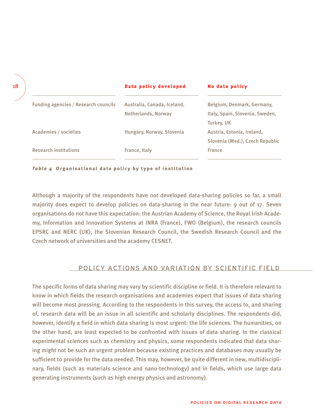|                                      | Data policy developed       | No data policy                  |
|--------------------------------------|-----------------------------|---------------------------------|
| Funding agencies / Research councils | Australia, Canada, Iceland, | Belgium, Denmark, Germany,      |
|                                      | Netherlands, Norway         | Italy, Spain, Slovenia, Sweden, |
|                                      |                             | <b>Turkey, UK</b>               |
| Academies / societies                | Hungary, Norway, Slovenia   | Austria, Estonia, Ireland,      |
|                                      |                             | Slovenia (Med.), Czech Republic |
| <b>Research institutions</b>         | France, Italy               | France                          |
|                                      |                             |                                 |

*Table 4* Organisational data policy by type of institution

Although a majority of the respondents have not developed data-sharing policies so far, a small majority does expect to develop policies on data-sharing in the near future: 9 out of 17. Seven organisations do not have this expectation: the Austrian Academy of Science, the Royal Irish Academy, Information and Innovation Systems at INRA (France), FWO (Belgium), the research councils EPSRC and NERC (UK), the Slovenian Research Council, the Swedish Research Council and the Czech network of universities and the academy CESNET.

### POLICY ACTIONS AND VARIATION BY SCIENTIFIC FIELD

The specific forms of data sharing may vary by scientific discipline or field. It is therefore relevant to know in which fields the research organisations and academies expect that issues of data sharing will become most pressing. According to the respondents in this survey, the access to, and sharing of, research data will be an issue in all scientific and scholarly disciplines. The respondents did, however, identify a field in which data sharing is most urgent: the life sciences. The humanities, on the other hand, are least expected to be confronted with issues of data sharing. In the classical experimental sciences such as chemistry and physics, some respondents indicated that data sharing might not be such an urgent problem because existing practices and databases may usually be sufficient to provide for the data needed. This may, however, be quite different in new, multidisciplinary, fields (such as materials science and nano-technology) and in fields, which use large data generating instruments (such as high energy physics and astronomy).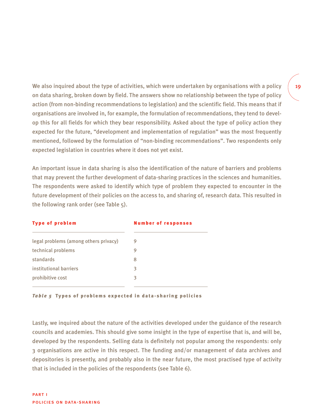We also inquired about the type of activities, which were undertaken by organisations with a policy on data sharing, broken down by field. The answers show no relationship between the type of policy action (from non-binding recommendations to legislation) and the scientific field. This means that if organisations are involved in, for example, the formulation of recommendations, they tend to develop this for all fields for which they bear responsibility. Asked about the type of policy action they expected for the future, "development and implementation of regulation" was the most frequently mentioned, followed by the formulation of "non-binding recommendations". Two respondents only expected legislation in countries where it does not yet exist.

An important issue in data sharing is also the identification of the nature of barriers and problems that may prevent the further development of data-sharing practices in the sciences and humanities. The respondents were asked to identify which type of problem they expected to encounter in the future development of their policies on the access to, and sharing of, research data. This resulted in the following rank order (see Table 5).

| <b>Type of problem</b>                | <b>Number of responses</b> |  |
|---------------------------------------|----------------------------|--|
| legal problems (among others privacy) | 9                          |  |
| technical problems                    | 9                          |  |
| standards                             | 8                          |  |
| institutional barriers                | З                          |  |
| prohibitive cost                      | 3                          |  |
|                                       |                            |  |

*Table 5* Types of problems expected in data-sharing policies

Lastly, we inquired about the nature of the activities developed under the guidance of the research councils and academies. This should give some insight in the type of expertise that is, and will be, developed by the respondents. Selling data is definitely not popular among the respondents: only 3 organisations are active in this respect. The funding and/or management of data archives and depositories is presently, and probably also in the near future, the most practised type of activity that is included in the policies of the respondents (see Table 6).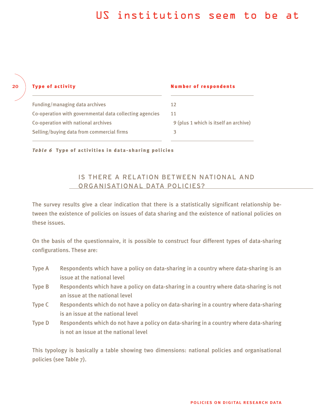### US institutions seem to be at

| <b>Type of activity</b>                                 | <b>Number of respondents</b>          |
|---------------------------------------------------------|---------------------------------------|
| Funding/managing data archives                          | 12                                    |
| Co-operation with governmental data collecting agencies | 11                                    |
| Co-operation with national archives                     | 9 (plus 1 which is itself an archive) |
| Selling/buying data from commercial firms               |                                       |
|                                                         |                                       |

*Table 6* Type of activities in data-sharing policies

20

### IS THERE A RELATION BETWEEN NATIONAL AND ORGANISATIONAL DATA POLICIES?

The survey results give a clear indication that there is a statistically significant relationship between the existence of policies on issues of data sharing and the existence of national policies on these issues.

On the basis of the questionnaire, it is possible to construct four different types of data-sharing configurations. These are:

- Type A Respondents which have a policy on data-sharing in a country where data-sharing is an issue at the national level
- Type B Respondents which have a policy on data-sharing in a country where data-sharing is not an issue at the national level
- Type C Respondents which do not have a policy on data-sharing in a country where data-sharing is an issue at the national level
- Type D Respondents which do not have a policy on data-sharing in a country where data-sharing is not an issue at the national level

This typology is basically a table showing two dimensions: national policies and organisational policies (see Table 7).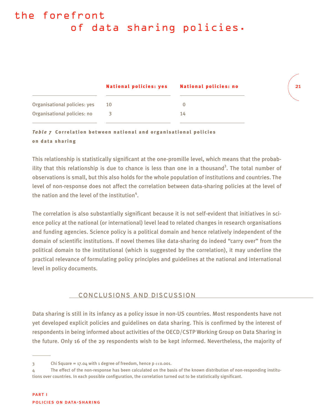# the forefront of data sharing policies.

|                              | <b>National policies: yes</b> | <b>National policies: no</b> |
|------------------------------|-------------------------------|------------------------------|
| Organisational policies: yes | 10                            |                              |
| Organisational policies: no  |                               | 14                           |

### *Table 7* Correlation between national and organisational policies on data sharing

This relationship is statistically significant at the one-promille level, which means that the probability that this relationship is due to chance is less than one in a thousand<sup>3</sup>. The total number of observations is small, but this also holds for the whole population of institutions and countries. The level of non-response does not affect the correlation between data-sharing policies at the level of the nation and the level of the institution<sup>4</sup>.

21

The correlation is also substantially significant because it is not self-evident that initiatives in science policy at the national (or international) level lead to related changes in research organisations and funding agencies. Science policy is a political domain and hence relatively independent of the domain of scientific institutions. If novel themes like data-sharing do indeed "carry over" from the political domain to the institutional (which is suggested by the correlation), it may underline the practical relevance of formulating policy principles and guidelines at the national and international level in policy documents.

### CONCLUSIONS AND DISCUSSION

Data sharing is still in its infancy as a policy issue in non-US countries. Most respondents have not yet developed explicit policies and guidelines on data sharing. This is confirmed by the interest of respondents in being informed about activities of the OECD/CSTP Working Group on Data Sharing in the future. Only 16 of the 29 respondents wish to be kept informed. Nevertheless, the majority of

 $3$  Chi Square = 17.04 with 1 degree of freedom, hence p  $\langle 0.001, 1 \rangle$ 

<sup>4</sup> The effect of the non-response has been calculated on the basis of the known distribution of non-responding institutions over countries. In each possible configuration, the correlation turned out to be statistically significant.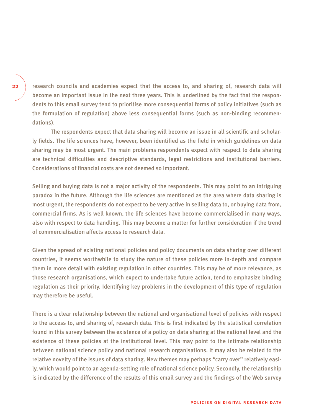research councils and academies expect that the access to, and sharing of, research data will become an important issue in the next three years. This is underlined by the fact that the respondents to this email survey tend to prioritise more consequential forms of policy initiatives (such as the formulation of regulation) above less consequential forms (such as non-binding recommendations).

The respondents expect that data sharing will become an issue in all scientific and scholarly fields. The life sciences have, however, been identified as the field in which guidelines on data sharing may be most urgent. The main problems respondents expect with respect to data sharing are technical difficulties and descriptive standards, legal restrictions and institutional barriers. Considerations of financial costs are not deemed so important.

Selling and buying data is not a major activity of the respondents. This may point to an intriguing paradox in the future. Although the life sciences are mentioned as the area where data sharing is most urgent, the respondents do not expect to be very active in selling data to, or buying data from, commercial firms. As is well known, the life sciences have become commercialised in many ways, also with respect to data handling. This may become a matter for further consideration if the trend of commercialisation affects access to research data.

Given the spread of existing national policies and policy documents on data sharing over different countries, it seems worthwhile to study the nature of these policies more in-depth and compare them in more detail with existing regulation in other countries. This may be of more relevance, as those research organisations, which expect to undertake future action, tend to emphasize binding regulation as their priority. Identifying key problems in the development of this type of regulation may therefore be useful.

There is a clear relationship between the national and organisational level of policies with respect to the access to, and sharing of, research data. This is first indicated by the statistical correlation found in this survey between the existence of a policy on data sharing at the national level and the existence of these policies at the institutional level. This may point to the intimate relationship between national science policy and national research organisations. It may also be related to the relative novelty of the issues of data sharing. New themes may perhaps "carry over" relatively easily, which would point to an agenda-setting role of national science policy. Secondly, the relationship is indicated by the difference of the results of this email survey and the findings of the Web survey

#### 22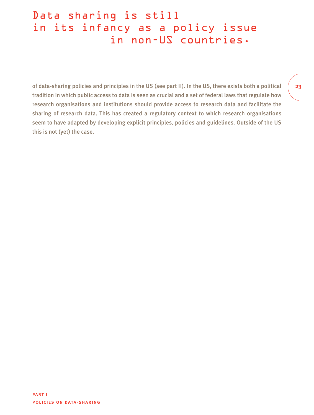# Data sharing is still in its infancy as a policy issue in non-US countries.

of data-sharing policies and principles in the US (see part II). In the US, there exists both a political tradition in which public access to data is seen as crucial and a set of federal laws that regulate how research organisations and institutions should provide access to research data and facilitate the sharing of research data. This has created a regulatory context to which research organisations seem to have adapted by developing explicit principles, policies and guidelines. Outside of the US this is not (yet) the case.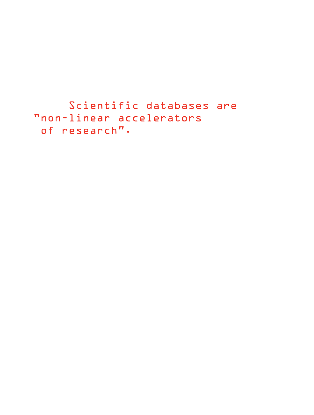Scientific databases are "non-linear accelerators of research".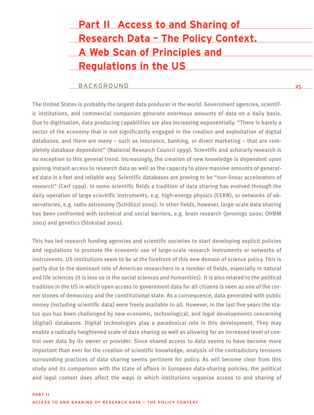| <b>Part II Access to and Sharing of</b>    |
|--------------------------------------------|
| <b>Research Data - The Policy Context.</b> |
| <b>A Web Scan of Principles and</b>        |
| <b>Regulations in the US</b>               |

つに

#### BACKGROUND

The United States is probably the largest data producer in the world. Government agencies, scientific institutions, and commercial companies generate enormous amounts of data on a daily basis. Due to digitisation, data producing capabilities are also increasing exponentially. "There is barely a sector of the economy that is not significantly engaged in the creation and exploitation of digital databases, and there are many – such as insurance, banking, or direct marketing – that are completely database dependent" (National Research Council 1999). Scientific and scholarly research is no exception to this general trend. Increasingly, the creation of new knowledge is dependent upon gaining instant access to research data as well as the capacity to store massive amounts of generated data in a fast and reliable way. Scientific databases are proving to be "non-linear accelerators of research" (Cerf 1999). In some scientific fields a tradition of data sharing has evolved through the daily operation of large scientific instruments, e.g. high-energy physics (CERN), or networks of observatories, e.g. radio astronomy (Schillizzi 2000). In other fields, however, large-scale data sharing has been confronted with technical and social barriers, e.g. brain research (Jennings 2000; OHBM 2001) and genetics (Stokstad 2002).

This has led research funding agencies and scientific societies to start developing explicit policies and regulations to promote the economic use of large-scale research instruments or networks of instruments. US institutions seem to be at the forefront of this new domain of science policy. This is partly due to the dominant role of American researchers in a number of fields, especially in natural and life sciences (it is less so in the social sciences and humanities). It is also related to the political tradition in the US in which open access to government data for all citizens is seen as one of the corner stones of democracy and the constitutional state. As a consequence, data generated with public money (including scientific data) were freely available to all. However, in the last five years the status quo has been challenged by new economic, technological, and legal developments concerning (digital) databases. Digital technologies play a paradoxical role in this development. They may enable a radically heightened scale of data sharing as well as allowing for an increased level of control over data by its owner or provider. Since shared access to data seems to have become more important than ever for the creation of scientific knowledge, analysis of the contradictory tensions surrounding practices of data sharing seems pertinent for policy. As will become clear from this study and its comparison with the state of affairs in European data-sharing policies, the political and legal context does affect the ways in which institutions organise access to and sharing of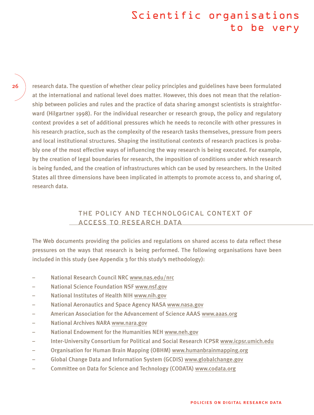### Scientific organisations to be very

26

research data. The question of whether clear policy principles and guidelines have been formulated at the international and national level does matter. However, this does not mean that the relationship between policies and rules and the practice of data sharing amongst scientists is straightforward (Hilgartner 1998). For the individual researcher or research group, the policy and regulatory context provides a set of additional pressures which he needs to reconcile with other pressures in his research practice, such as the complexity of the research tasks themselves, pressure from peers and local institutional structures. Shaping the institutional contexts of research practices is probably one of the most effective ways of influencing the way research is being executed. For example, by the creation of legal boundaries for research, the imposition of conditions under which research is being funded, and the creation of infrastructures which can be used by researchers. In the United States all three dimensions have been implicated in attempts to promote access to, and sharing of, research data.

### THE POLICY AND TECHNOLOGICAL CONTEXT OF ACCESS TO RESEARCH DATA

The Web documents providing the policies and regulations on shared access to data reflect these pressures on the ways that research is being performed. The following organisations have been included in this study (see Appendix 3 for this study's methodology):

- National Research Council NRC www.nas.edu/nrc
- National Science Foundation NSF www.nsf.gov
- National Institutes of Health NIH www.nih.gov
- National Aeronautics and Space Agency NASA www.nasa.gov
- American Association for the Advancement of Science AAAS www.aaas.org
- National Archives NARA www.nara.gov
- National Endowment for the Humanities NEH www.neh.gov
- Inter-University Consortium for Political and Social Research ICPSR www.icpsr.umich.edu
- Organisation for Human Brain Mapping (OBHM) www.humanbrainmapping.org
- Global Change Data and Information System (GCDIS) www.globalchange.gov
- Committee on Data for Science and Technology (CODATA) www.codata.org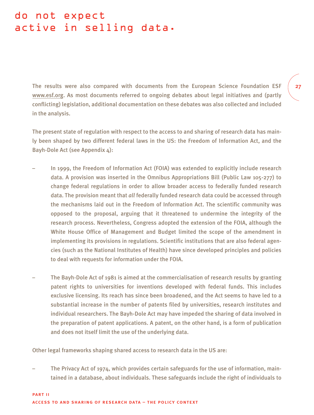### do not expect active in selling data.

The results were also compared with documents from the European Science Foundation ESF www.esf.org. As most documents referred to ongoing debates about legal initiatives and (partly conflicting) legislation, additional documentation on these debates was also collected and included in the analysis.

The present state of regulation with respect to the access to and sharing of research data has mainly been shaped by two different federal laws in the US: the Freedom of Information Act, and the Bayh-Dole Act (see Appendix 4):

- In 1999, the Freedom of Information Act (FOIA) was extended to explicitly include research data. A provision was inserted in the Omnibus Appropriations Bill (Public Law 105-277) to change federal regulations in order to allow broader access to federally funded research data. The provision meant that *all* federally funded research data could be accessed through the mechanisms laid out in the Freedom of Information Act. The scientific community was opposed to the proposal, arguing that it threatened to undermine the integrity of the research process. Nevertheless, Congress adopted the extension of the FOIA, although the White House Office of Management and Budget limited the scope of the amendment in implementing its provisions in regulations. Scientific institutions that are also federal agencies (such as the National Institutes of Health) have since developed principles and policies to deal with requests for information under the FOIA.
- The Bayh-Dole Act of 1981 is aimed at the commercialisation of research results by granting patent rights to universities for inventions developed with federal funds. This includes exclusive licensing. Its reach has since been broadened, and the Act seems to have led to a substantial increase in the number of patents filed by universities, research institutes and individual researchers. The Bayh-Dole Act may have impeded the sharing of data involved in the preparation of patent applications. A patent, on the other hand, is a form of publication and does not itself limit the use of the underlying data.

Other legal frameworks shaping shared access to research data in the US are:

– The Privacy Act of 1974, which provides certain safeguards for the use of information, maintained in a database, about individuals. These safeguards include the right of individuals to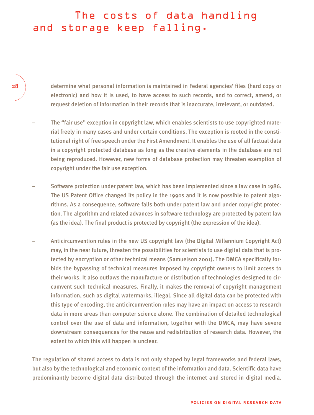### The costs of data handling and storage keep falling.

determine what personal information is maintained in Federal agencies' files (hard copy or electronic) and how it is used, to have access to such records, and to correct, amend, or request deletion of information in their records that is inaccurate, irrelevant, or outdated.

- The "fair use" exception in copyright law, which enables scientists to use copyrighted material freely in many cases and under certain conditions. The exception is rooted in the constitutional right of free speech under the First Amendment. It enables the use of all factual data in a copyright protected database as long as the creative elements in the database are not being reproduced. However, new forms of database protection may threaten exemption of copyright under the fair use exception.
- Software protection under patent law, which has been implemented since a law case in 1986. The US Patent Office changed its policy in the 1990s and it is now possible to patent algorithms. As a consequence, software falls both under patent law and under copyright protection. The algorithm and related advances in software technology are protected by patent law (as the idea). The final product is protected by copyright (the expression of the idea).
- Anticircumvention rules in the new US copyright law (the Digital Millennium Copyright Act) may, in the near future, threaten the possibilities for scientists to use digital data that is protected by encryption or other technical means (Samuelson 2001). The DMCA specifically forbids the bypassing of technical measures imposed by copyright owners to limit access to their works. It also outlaws the manufacture or distribution of technologies designed to circumvent such technical measures. Finally, it makes the removal of copyright management information, such as digital watermarks, illegal. Since all digital data can be protected with this type of encoding, the anticircumvention rules may have an impact on access to research data in more areas than computer science alone. The combination of detailed technological control over the use of data and information, together with the DMCA, may have severe downstream consequences for the reuse and redistribution of research data. However, the extent to which this will happen is unclear.

The regulation of shared access to data is not only shaped by legal frameworks and federal laws, but also by the technological and economic context of the information and data. Scientific data have predominantly become digital data distributed through the internet and stored in digital media.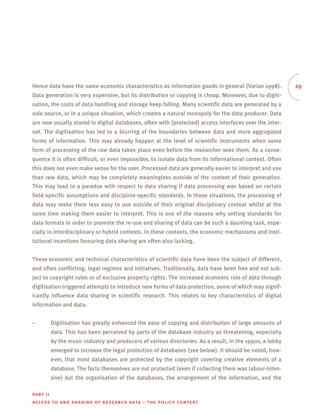Hence data have the same economic characteristics as information goods in general (Varian 1998). Data generation is very expensive, but its distribution or copying is cheap. Moreover, due to digitisation, the costs of data handling and storage keep falling. Many scientific data are generated by a sole source, or in a unique situation, which creates a natural monopoly for the data producer. Data are now usually stored in digital databases, often with (protected) access interfaces over the internet. The digitisation has led to a blurring of the boundaries between data and more aggregated forms of information. This may already happen at the level of scientific instruments when some form of processing of the raw data takes place even before the researcher sees them. As a consequence it is often difficult, or even impossible, to isolate data from its informational context. Often this does not even make sense for the user. Processed data are generally easier to interpret and use than raw data, which may be completely meaningless outside of the context of their generation. This may lead to a paradox with respect to data sharing if data processing was based on certain field-specific assumptions and discipline-specific standards. In those situations, the processing of data may make them less easy to use outside of their original disciplinary context whilst at the same time making them easier to interpret. This is one of the reasons why setting standards for data formats in order to promote the re-use and sharing of data can be such a daunting task, especially in interdisciplinary or hybrid contexts. In these contexts, the economic mechanisms and institutional incentives favouring data sharing are often also lacking.

These economic and technical characteristics of scientific data have been the subject of different, and often conflicting, legal regimes and initiatives. Traditionally, data have been free and not subject to copyright rules or of exclusive property rights. The increased economic role of data through digitisation triggered attempts to introduce new forms of data protection, some of which may significantly influence data sharing in scientific research. This relates to key characteristics of digital information and data:

– Digitisation has greatly enhanced the ease of copying and distribution of large amounts of data. This has been perceived by parts of the database industry as threatening, especially by the music industry and producers of various directories. As a result, in the 1990s, a lobby emerged to increase the legal protection of databases (see below). It should be noted, however, that most databases are protected by the copyright covering creative elements of a database. The facts themselves are not protected (even if collecting them was labour-intensive) but the organisation of the databases, the arrangement of the information, and the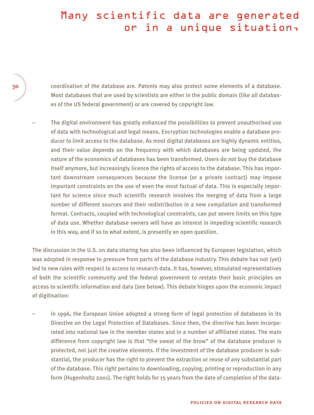### Many scientific data are generated or in a unique situation,

coordination of the database are. Patents may also protect some elements of a database. Most databases that are used by scientists are either in the public domain (like all databases of the US federal government) or are covered by copyright law.

– The digital environment has greatly enhanced the possibilities to prevent unauthorised use of data with technological and legal means. Encryption technologies enable a database producer to limit access to the database. As most digital databases are highly dynamic entities, and their value depends on the frequency with which databases are being updated, the nature of the economics of databases has been transformed. Users do not buy the database itself anymore, but increasingly licence the rights of access to the database. This has important downstream consequences because the license (or a private contract) may impose important constraints on the use of even the most factual of data. This is especially important for science since much scientific research involves the merging of data from a large number of different sources and their redistribution in a new compilation and transformed format. Contracts, coupled with technological constraints, can put severe limits on this type of data use. Whether database owners will have an interest in impeding scientific research in this way, and if so to what extent, is presently an open question.

The discussion in the U.S. on data sharing has also been influenced by European legislation, which was adopted in response to pressure from parts of the database industry. This debate has not (yet) led to new rules with respect to access to research data. It has, however, stimulated representatives of both the scientific community and the federal government to restate their basic principles on access to scientific information and data (see below). This debate hinges upon the economic impact of digitisation:

– In 1996, the European Union adopted a strong form of legal protection of databases in its Directive on the Legal Protection of Databases. Since then, the directive has been incorporated into national law in the member states and in a number of affiliated states. The main difference from copyright law is that "the sweat of the brow" of the database producer is protected, not just the creative elements. If the investment of the database producer is substantial, the producer has the right to prevent the extraction or reuse of any substantial part of the database. This right pertains to downloading, copying, printing or reproduction in any form (Hugenholtz 2001). The right holds for 15 years from the date of completion of the data-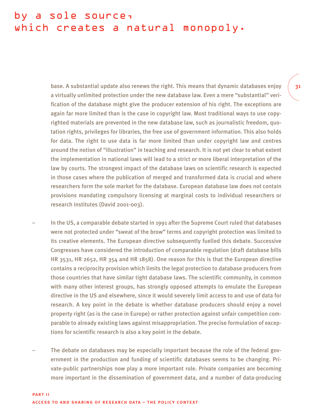### by a sole source, which creates a natural monopoly.

base. A substantial update also renews the right. This means that dynamic databases enjoy a virtually unlimited protection under the new database law. Even a mere "substantial" verification of the database might give the producer extension of his right. The exceptions are again far more limited than is the case in copyright law. Most traditional ways to use copyrighted materials are prevented in the new database law, such as journalistic freedom, quotation rights, privileges for libraries, the free use of government information. This also holds for data. The right to use data is far more limited than under copyright law and centres around the notion of "illustration" in teaching and research. It is not yet clear to what extent the implementation in national laws will lead to a strict or more liberal interpretation of the law by courts. The strongest impact of the database laws on scientific research is expected in those cases where the publication of merged and transformed data is crucial and where researchers form the sole market for the database. European database law does not contain provisions mandating compulsory licensing at marginal costs to individual researchers or research institutes (David 2001-003).

- In the US, a comparable debate started in 1991 after the Supreme Court ruled that databases were not protected under "sweat of the brow" terms and copyright protection was limited to its creative elements. The European directive subsequently fuelled this debate. Successive Congresses have considered the introduction of comparable regulation (draft database bills HR 3531, HR 2652, HR 354 and HR 1858). One reason for this is that the European directive contains a reciprocity provision which limits the legal protection to database producers from those countries that have similar tight database laws. The scientific community, in common with many other interest groups, has strongly opposed attempts to emulate the European directive in the US and elsewhere, since it would severely limit access to and use of data for research. A key point in the debate is whether database producers should enjoy a novel property right (as is the case in Europe) or rather protection against unfair competition comparable to already existing laws against misappropriation. The precise formulation of exceptions for scientific research is also a key point in the debate.
- The debate on databases may be especially important because the role of the federal government in the production and funding of scientific databases seems to be changing. Private-public partnerships now play a more important role. Private companies are becoming more important in the dissemination of government data, and a number of data-producing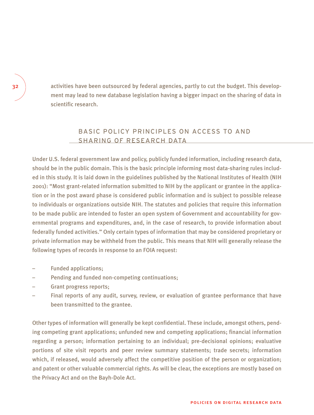activities have been outsourced by federal agencies, partly to cut the budget. This development may lead to new database legislation having a bigger impact on the sharing of data in scientific research.

### BASIC POLICY PRINCIPLES ON ACCESS TO AND SHARING OF RESEARCH DATA

Under U.S. federal government law and policy, publicly funded information, including research data, should be in the public domain. This is the basic principle informing most data-sharing rules included in this study. It is laid down in the guidelines published by the National Institutes of Health (NIH 2001): "Most grant-related information submitted to NIH by the applicant or grantee in the application or in the post award phase is considered public information and is subject to possible release to individuals or organizations outside NIH. The statutes and policies that require this information to be made public are intended to foster an open system of Government and accountability for governmental programs and expenditures, and, in the case of research, to provide information about federally funded activities." Only certain types of information that may be considered proprietary or private information may be withheld from the public. This means that NIH will generally release the following types of records in response to an FOIA request:

- Funded applications;
- Pending and funded non-competing continuations;
- Grant progress reports;
- Final reports of any audit, survey, review, or evaluation of grantee performance that have been transmitted to the grantee.

Other types of information will generally be kept confidential. These include, amongst others, pending competing grant applications; unfunded new and competing applications; financial information regarding a person; information pertaining to an individual; pre-decisional opinions; evaluative portions of site visit reports and peer review summary statements; trade secrets; information which, if released, would adversely affect the competitive position of the person or organization; and patent or other valuable commercial rights. As will be clear, the exceptions are mostly based on the Privacy Act and on the Bayh-Dole Act.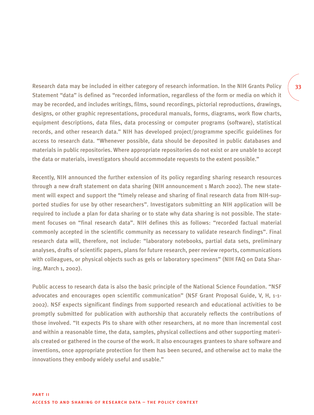Research data may be included in either category of research information. In the NIH Grants Policy Statement "data" is defined as "recorded information, regardless of the form or media on which it may be recorded, and includes writings, films, sound recordings, pictorial reproductions, drawings, designs, or other graphic representations, procedural manuals, forms, diagrams, work flow charts, equipment descriptions, data files, data processing or computer programs (software), statistical records, and other research data." NIH has developed project/programme specific guidelines for access to research data. "Whenever possible, data should be deposited in public databases and materials in public repositories. Where appropriate repositories do not exist or are unable to accept the data or materials, investigators should accommodate requests to the extent possible."

Recently, NIH announced the further extension of its policy regarding sharing research resources through a new draft statement on data sharing (NIH announcement 1 March 2002). The new statement will expect and support the "timely release and sharing of final research data from NIH-supported studies for use by other researchers". Investigators submitting an NIH application will be required to include a plan for data sharing or to state why data sharing is not possible. The statement focuses on "final research data". NIH defines this as follows: "recorded factual material commonly accepted in the scientific community as necessary to validate research findings". Final research data will, therefore, not include: "laboratory notebooks, partial data sets, preliminary analyses, drafts of scientific papers, plans for future research, peer review reports, communications with colleagues, or physical objects such as gels or laboratory specimens" (NIH FAQ on Data Sharing, March 1, 2002).

Public access to research data is also the basic principle of the National Science Foundation. "NSF advocates and encourages open scientific communication" (NSF Grant Proposal Guide, V, H, 1-1- 2002). NSF expects significant findings from supported research and educational activities to be promptly submitted for publication with authorship that accurately reflects the contributions of those involved. "It expects PIs to share with other researchers, at no more than incremental cost and within a reasonable time, the data, samples, physical collections and other supporting materials created or gathered in the course of the work. It also encourages grantees to share software and inventions, once appropriate protection for them has been secured, and otherwise act to make the innovations they embody widely useful and usable."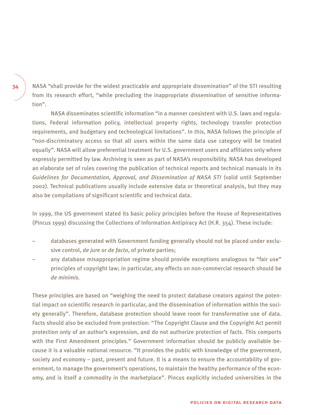NASA "shall provide for the widest practicable and appropriate dissemination" of the STI resulting from its research effort, "while precluding the inappropriate dissemination of sensitive information".

NASA disseminates scientific information "in a manner consistent with U.S. laws and regulations, Federal information policy, intellectual property rights, technology transfer protection requirements, and budgetary and technological limitations". In this, NASA follows the principle of "non-discriminatory access so that all users within the same data use category will be treated equally". NASA will allow preferential treatment for U.S. government users and affiliates only where expressly permitted by law. Archiving is seen as part of NASA's responsibility. NASA has developed an elaborate set of rules covering the publication of technical reports and technical manuals in its *Guidelines for Documentation, Approval, and Dissemination of NASA STI* (valid until September 2002). Technical publications usually include extensive data or theoretical analysis, but they may also be compilations of significant scientific and technical data.

In 1999, the US government stated its basic policy principles before the House of Representatives (Pincus 1999) discussing the Collections of Information Antipiracy Act (H.R. 354). These include:

- databases generated with Government funding generally should not be placed under exclusive control, *de jure* or *de facto*, of private parties;
- any database misappropriation regime should provide exceptions analogous to "fair use" principles of copyright law; in particular, any effects on non-commercial research should be *de minimis.*

These principles are based on "weighing the need to protect database creators against the potential impact on scientific research in particular, and the dissemination of information within the society generally". Therefore, database protection should leave room for transformative use of data. Facts should also be excluded from protection: "The Copyright Clause and the Copyright Act permit protection only of an author's expression, and do not authorize protection of facts. This comports with the First Amendment principles." Government information should be publicly available because it is a valuable national resource. "It provides the public with knowledge of the government, society and economy – past, present and future. It is a means to ensure the accountability of government, to manage the government's operations, to maintain the healthy performance of the economy, and is itself a commodity in the marketplace". Pincus explicitly included universities in the

34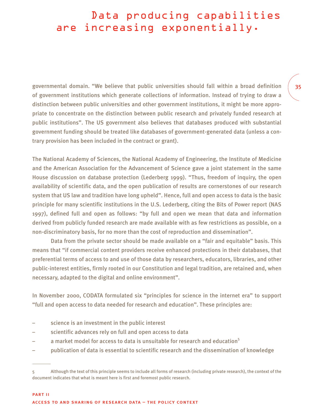### Data producing capabilities are increasing exponentially.

governmental domain. "We believe that public universities should fall within a broad definition of government institutions which generate collections of information. Instead of trying to draw a distinction between public universities and other government institutions, it might be more appropriate to concentrate on the distinction between public research and privately funded research at public institutions". The US government also believes that databases produced with substantial government funding should be treated like databases of government-generated data (unless a contrary provision has been included in the contract or grant).

The National Academy of Sciences, the National Academy of Engineering, the Institute of Medicine and the American Association for the Advancement of Science gave a joint statement in the same House discussion on database protection (Lederberg 1999). "Thus, freedom of inquiry, the open availability of scientific data, and the open publication of results are cornerstones of our research system that US law and tradition have long upheld". Hence, full and open access to data is the basic principle for many scientific institutions in the U.S. Lederberg, citing the Bits of Power report (NAS 1997), defined full and open as follows: "by full and open we mean that data and information derived from publicly funded research are made available with as few restrictions as possible, on a non-discriminatory basis, for no more than the cost of reproduction and dissemination".

Data from the private sector should be made available on a "fair and equitable" basis. This means that "if commercial content providers receive enhanced protections in their databases, that preferential terms of access to and use of those data by researchers, educators, libraries, and other public-interest entities, firmly rooted in our Constitution and legal tradition, are retained and, when necessary, adapted to the digital and online environment".

In November 2000, CODATA formulated six "principles for science in the internet era" to support "full and open access to data needed for research and education". These principles are:

- science is an investment in the public interest
- scientific advances rely on full and open access to data
- a market model for access to data is unsuitable for research and education<sup>5</sup>
- publication of data is essential to scientific research and the dissemination of knowledge

<sup>5</sup> Although the text of this principle seems to include all forms of research (including private research), the context of the document indicates that what is meant here is first and foremost public research.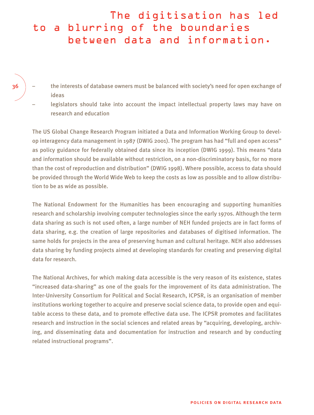## The digitisation has led to a blurring of the boundaries between data and information.

- 36
- the interests of database owners must be balanced with society's need for open exchange of ideas
- legislators should take into account the impact intellectual property laws may have on research and education

The US Global Change Research Program initiated a Data and Information Working Group to develop interagency data management in 1987 (DWIG 2001). The program has had "full and open access" as policy guidance for federally obtained data since its inception (DWIG 1999). This means "data and information should be available without restriction, on a non-discriminatory basis, for no more than the cost of reproduction and distribution" (DWIG 1998). Where possible, access to data should be provided through the World Wide Web to keep the costs as low as possible and to allow distribution to be as wide as possible.

The National Endowment for the Humanities has been encouraging and supporting humanities research and scholarship involving computer technologies since the early 1970s. Although the term data sharing as such is not used often, a large number of NEH funded projects are in fact forms of data sharing, e.g. the creation of large repositories and databases of digitised information. The same holds for projects in the area of preserving human and cultural heritage. NEH also addresses data sharing by funding projects aimed at developing standards for creating and preserving digital data for research.

The National Archives, for which making data accessible is the very reason of its existence, states "increased data-sharing" as one of the goals for the improvement of its data administration. The Inter-University Consortium for Political and Social Research, ICPSR, is an organisation of member institutions working together to acquire and preserve social science data, to provide open and equitable access to these data, and to promote effective data use. The ICPSR promotes and facilitates research and instruction in the social sciences and related areas by "acquiring, developing, archiving, and disseminating data and documentation for instruction and research and by conducting related instructional programs".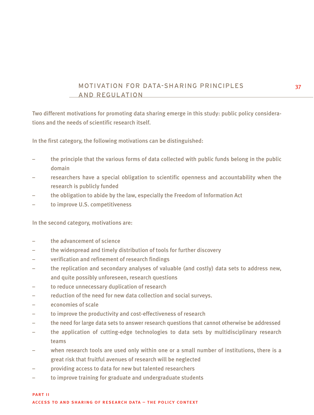## MOTIVATION FOR DATA-SHARING PRINCIPLES AND REGULATION

Two different motivations for promoting data sharing emerge in this study: public policy considerations and the needs of scientific research itself.

In the first category, the following motivations can be distinguished:

- the principle that the various forms of data collected with public funds belong in the public domain
- researchers have a special obligation to scientific openness and accountability when the research is publicly funded
- the obligation to abide by the law, especially the Freedom of Information Act
- to improve U.S. competitiveness

In the second category, motivations are:

- the advancement of science
- the widespread and timely distribution of tools for further discovery
- verification and refinement of research findings
- the replication and secondary analyses of valuable (and costly) data sets to address new, and quite possibly unforeseen, research questions
- to reduce unnecessary duplication of research
- reduction of the need for new data collection and social surveys.
- economies of scale
- to improve the productivity and cost-effectiveness of research
- the need for large data sets to answer research questions that cannot otherwise be addressed
- the application of cutting-edge technologies to data sets by multidisciplinary research teams
- when research tools are used only within one or a small number of institutions, there is a great risk that fruitful avenues of research will be neglected
- providing access to data for new but talented researchers
- to improve training for graduate and undergraduate students

part ii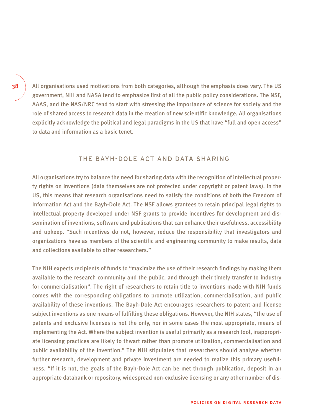All organisations used motivations from both categories, although the emphasis does vary. The US government, NIH and NASA tend to emphasize first of all the public policy considerations. The NSF, AAAS, and the NAS/NRC tend to start with stressing the importance of science for society and the role of shared access to research data in the creation of new scientific knowledge. All organisations explicitly acknowledge the political and legal paradigms in the US that have "full and open access" to data and information as a basic tenet.

#### THE BAYH-DOLE ACT AND DATA SHARING

All organisations try to balance the need for sharing data with the recognition of intellectual property rights on inventions (data themselves are not protected under copyright or patent laws). In the US, this means that research organisations need to satisfy the conditions of both the Freedom of Information Act and the Bayh-Dole Act. The NSF allows grantees to retain principal legal rights to intellectual property developed under NSF grants to provide incentives for development and dissemination of inventions, software and publications that can enhance their usefulness, accessibility and upkeep. "Such incentives do not, however, reduce the responsibility that investigators and organizations have as members of the scientific and engineering community to make results, data and collections available to other researchers."

The NIH expects recipients of funds to "maximize the use of their research findings by making them available to the research community and the public, and through their timely transfer to industry for commercialisation". The right of researchers to retain title to inventions made with NIH funds comes with the corresponding obligations to promote utilization, commercialisation, and public availability of these inventions. The Bayh-Dole Act encourages researchers to patent and license subject inventions as one means of fulfilling these obligations. However, the NIH states, "the use of patents and exclusive licenses is not the only, nor in some cases the most appropriate, means of implementing the Act. Where the subject invention is useful primarily as a research tool, inappropriate licensing practices are likely to thwart rather than promote utilization, commercialisation and public availability of the invention." The NIH stipulates that researchers should analyse whether further research, development and private investment are needed to realize this primary usefulness. "If it is not, the goals of the Bayh-Dole Act can be met through publication, deposit in an appropriate databank or repository, widespread non-exclusive licensing or any other number of dis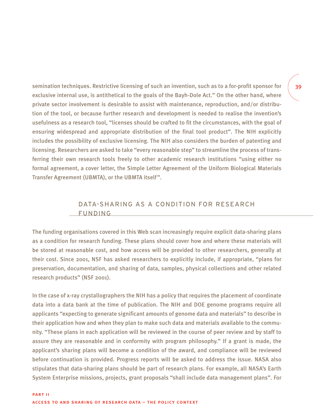semination techniques. Restrictive licensing of such an invention, such as to a for-profit sponsor for exclusive internal use, is antithetical to the goals of the Bayh-Dole Act." On the other hand, where private sector involvement is desirable to assist with maintenance, reproduction, and/or distribution of the tool, or because further research and development is needed to realise the invention's usefulness as a research tool, "licenses should be crafted to fit the circumstances, with the goal of ensuring widespread and appropriate distribution of the final tool product". The NIH explicitly includes the possibility of exclusive licensing. The NIH also considers the burden of patenting and licensing. Researchers are asked to take "every reasonable step" to streamline the process of transferring their own research tools freely to other academic research institutions "using either no formal agreement, a cover letter, the Simple Letter Agreement of the Uniform Biological Materials Transfer Agreement (UBMTA), or the UBMTA itself ".

## DATA-SHARING AS A CONDITION FOR RESEARCH FUNDING

The funding organisations covered in this Web scan increasingly require explicit data-sharing plans as a condition for research funding. These plans should cover how and where these materials will be stored at reasonable cost, and how access will be provided to other researchers, generally at their cost. Since 2001, NSF has asked researchers to explicitly include, if appropriate, "plans for preservation, documentation, and sharing of data, samples, physical collections and other related research products" (NSF 2001).

In the case of x-ray crystallographers the NIH has a policy that requires the placement of coordinate data into a data bank at the time of publication. The NIH and DOE genome programs require all applicants "expecting to generate significant amounts of genome data and materials" to describe in their application how and when they plan to make such data and materials available to the community. "These plans in each application will be reviewed in the course of peer review and by staff to assure they are reasonable and in conformity with program philosophy." If a grant is made, the applicant's sharing plans will become a condition of the award, and compliance will be reviewed before continuation is provided. Progress reports will be asked to address the issue. NASA also stipulates that data-sharing plans should be part of research plans. For example, all NASA's Earth System Enterprise missions, projects, grant proposals "shall include data management plans". For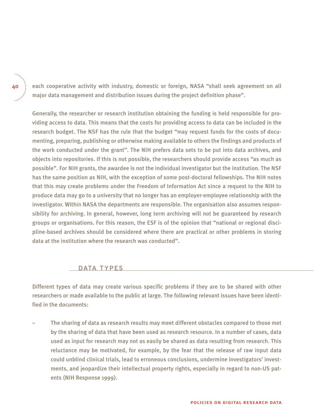each cooperative activity with industry, domestic or foreign, NASA "shall seek agreement on all major data management and distribution issues during the project definition phase".

Generally, the researcher or research institution obtaining the funding is held responsible for providing access to data. This means that the costs for providing access to data can be included in the research budget. The NSF has the rule that the budget "may request funds for the costs of documenting, preparing, publishing or otherwise making available to others the findings and products of the work conducted under the grant". The NIH prefers data sets to be put into data archives, and objects into repositories. If this is not possible, the researchers should provide access "as much as possible". For NIH grants, the awardee is not the individual investigator but the institution. The NSF has the same position as NIH, with the exception of some post-doctoral fellowships. The NIH notes that this may create problems under the Freedom of Information Act since a request to the NIH to produce data may go to a university that no longer has an employer-employee relationship with the investigator. Within NASA the departments are responsible. The organisation also assumes responsibility for archiving. In general, however, long term archiving will not be guaranteed by research groups or organisations. For this reason, the ESF is of the opinion that "national or regional discipline-based archives should be considered where there are practical or other problems in storing data at the institution where the research was conducted".

### DATA TYPES

Different types of data may create various specific problems if they are to be shared with other researchers or made available to the public at large. The following relevant issues have been identified in the documents:

– The sharing of data as research results may meet different obstacles compared to those met by the sharing of data that have been used as research resource. In a number of cases, data used as input for research may not as easily be shared as data resulting from research. This reluctance may be motivated, for example, by the fear that the release of raw input data could unblind clinical trials, lead to erroneous conclusions, undermine investigators' investments, and jeopardize their intellectual property rights, especially in regard to non-US patents (NIH Response 1999).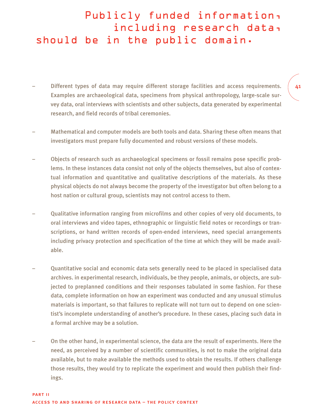## Publicly funded information, including research data, should be in the public domain.

- Different types of data may require different storage facilities and access requirements. Examples are archaeological data, specimens from physical anthropology, large-scale survey data, oral interviews with scientists and other subjects, data generated by experimental research, and field records of tribal ceremonies.
- Mathematical and computer models are both tools and data. Sharing these often means that investigators must prepare fully documented and robust versions of these models.
- Objects of research such as archaeological specimens or fossil remains pose specific problems. In these instances data consist not only of the objects themselves, but also of contextual information and quantitative and qualitative descriptions of the materials. As these physical objects do not always become the property of the investigator but often belong to a host nation or cultural group, scientists may not control access to them.
- Qualitative information ranging from microfilms and other copies of very old documents, to oral interviews and video tapes, ethnographic or linguistic field notes or recordings or transcriptions, or hand written records of open-ended interviews, need special arrangements including privacy protection and specification of the time at which they will be made available.
- Quantitative social and economic data sets generally need to be placed in specialised data archives. in experimental research, individuals, be they people, animals, or objects, are subjected to preplanned conditions and their responses tabulated in some fashion. For these data, complete information on how an experiment was conducted and any unusual stimulus materials is important, so that failures to replicate will not turn out to depend on one scientist's incomplete understanding of another's procedure. In these cases, placing such data in a formal archive may be a solution.
- On the other hand, in experimental science, the data are the result of experiments. Here the need, as perceived by a number of scientific communities, is not to make the original data available, but to make available the methods used to obtain the results. If others challenge those results, they would try to replicate the experiment and would then publish their findings.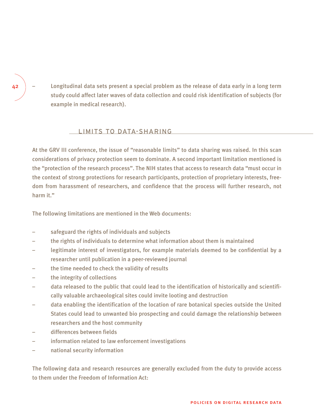– Longitudinal data sets present a special problem as the release of data early in a long term study could affect later waves of data collection and could risk identification of subjects (for example in medical research).

#### LIMITS TO DATA-SHARING

At the GRV III conference, the issue of "reasonable limits" to data sharing was raised. In this scan considerations of privacy protection seem to dominate. A second important limitation mentioned is the "protection of the research process". The NIH states that access to research data "must occur in the context of strong protections for research participants, protection of proprietary interests, freedom from harassment of researchers, and confidence that the process will further research, not harm it."

The following limitations are mentioned in the Web documents:

- safeguard the rights of individuals and subjects
- the rights of individuals to determine what information about them is maintained
- legitimate interest of investigators, for example materials deemed to be confidential by a researcher until publication in a peer-reviewed journal
- the time needed to check the validity of results
- the integrity of collections
- data released to the public that could lead to the identification of historically and scientifically valuable archaeological sites could invite looting and destruction
- data enabling the identification of the location of rare botanical species outside the United States could lead to unwanted bio prospecting and could damage the relationship between researchers and the host community
- differences between fields
- information related to law enforcement investigations
- national security information

The following data and research resources are generally excluded from the duty to provide access to them under the Freedom of Information Act: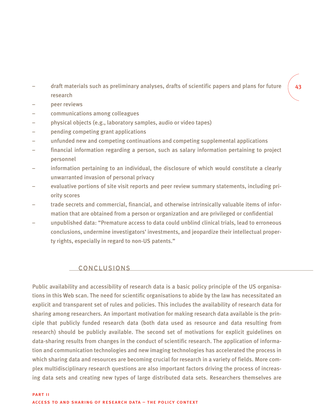- draft materials such as preliminary analyses, drafts of scientific papers and plans for future research
- peer reviews
- communications among colleagues
- physical objects (e.g., laboratory samples, audio or video tapes)
- pending competing grant applications
- unfunded new and competing continuations and competing supplemental applications
- financial information regarding a person, such as salary information pertaining to project personnel
- information pertaining to an individual, the disclosure of which would constitute a clearly unwarranted invasion of personal privacy
- evaluative portions of site visit reports and peer review summary statements, including priority scores
- trade secrets and commercial, financial, and otherwise intrinsically valuable items of information that are obtained from a person or organization and are privileged or confidential
- unpublished data: "Premature access to data could unblind clinical trials, lead to erroneous conclusions, undermine investigators' investments, and jeopardize their intellectual property rights, especially in regard to non-US patents."

### CONCLUSIONS

Public availability and accessibility of research data is a basic policy principle of the US organisations in this Web scan. The need for scientific organisations to abide by the law has necessitated an explicit and transparent set of rules and policies. This includes the availability of research data for sharing among researchers. An important motivation for making research data available is the principle that publicly funded research data (both data used as resource and data resulting from research) should be publicly available. The second set of motivations for explicit guidelines on data-sharing results from changes in the conduct of scientific research. The application of information and communication technologies and new imaging technologies has accelerated the process in which sharing data and resources are becoming crucial for research in a variety of fields. More complex multidisciplinary research questions are also important factors driving the process of increasing data sets and creating new types of large distributed data sets. Researchers themselves are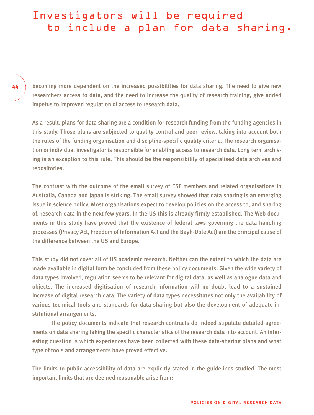# Investigators will be required to include a plan for data sharing.

44

becoming more dependent on the increased possibilities for data sharing. The need to give new researchers access to data, and the need to increase the quality of research training, give added impetus to improved regulation of access to research data.

As a result, plans for data sharing are a condition for research funding from the funding agencies in this study. Those plans are subjected to quality control and peer review, taking into account both the rules of the funding organisation and discipline-specific quality criteria. The research organisation or individual investigator is responsible for enabling access to research data. Long term archiving is an exception to this rule. This should be the responsibility of specialised data archives and repositories.

The contrast with the outcome of the email survey of ESF members and related organisations in Australia, Canada and Japan is striking. The email survey showed that data sharing is an emerging issue in science policy. Most organisations expect to develop policies on the access to, and sharing of, research data in the next few years. In the US this is already firmly established. The Web documents in this study have proved that the existence of federal laws governing the data handling processes (Privacy Act, Freedom of Information Act and the Bayh-Dole Act) are the principal cause of the difference between the US and Europe.

This study did not cover all of US academic research. Neither can the extent to which the data are made available in digital form be concluded from these policy documents. Given the wide variety of data types involved, regulation seems to be relevant for digital data, as well as analogue data and objects. The increased digitisation of research information will no doubt lead to a sustained increase of digital research data. The variety of data types necessitates not only the availability of various technical tools and standards for data-sharing but also the development of adequate institutional arrangements.

The policy documents indicate that research contracts do indeed stipulate detailed agreements on data sharing taking the specific characteristics of the research data into account. An interesting question is which experiences have been collected with these data-sharing plans and what type of tools and arrangements have proved effective.

The limits to public accessibility of data are explicitly stated in the guidelines studied. The most important limits that are deemed reasonable arise from: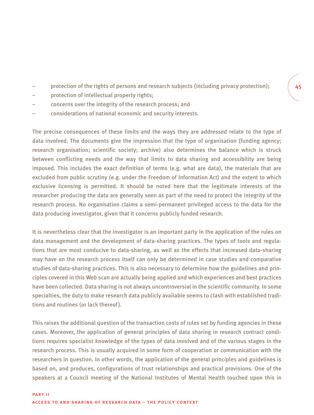- protection of the rights of persons and research subjects (including privacy protection);
- protection of intellectual property rights;
- concerns over the integrity of the research process; and
- considerations of national economic and security interests.

The precise consequences of these limits and the ways they are addressed relate to the type of data involved. The documents give the impression that the type of organisation (funding agency; research organisation; scientific society; archive) also determines the balance which is struck between conflicting needs and the way that limits to data sharing and accessibility are being imposed. This includes the exact definition of terms (e.g. what are data), the materials that are excluded from public scrutiny (e.g. under the Freedom of Information Act) and the extent to which exclusive licensing is permitted. It should be noted here that the legitimate interests of the researcher producing the data are generally seen as part of the need to protect the integrity of the research process. No organisation claims a semi-permanent privileged access to the data for the data producing investigator, given that it concerns publicly funded research.

It is nevertheless clear that the investigator is an important party in the application of the rules on data management and the development of data-sharing practices. The types of tools and regulations that are most conducive to data-sharing, as well as the effects that increased data-sharing may have on the research process itself can only be determined in case studies and comparative studies of data-sharing practices. This is also necessary to determine how the guidelines and principles covered in this Web scan are actually being applied and which experiences and best practices have been collected. Data sharing is not always uncontroversial in the scientific community. In some specialties, the duty to make research data publicly available seems to clash with established traditions and routines (or lack thereof).

This raises the additional question of the transaction costs of rules set by funding agencies in these cases. Moreover, the application of general principles of data sharing in research contract conditions requires specialist knowledge of the types of data involved and of the various stages in the research process. This is usually acquired in some form of cooperation or communication with the researchers in question. In other words, the application of the general principles and guidelines is based on, and produces, configurations of trust relationships and practical provisions. One of the speakers at a Council meeting of the National Institutes of Mental Health touched upon this in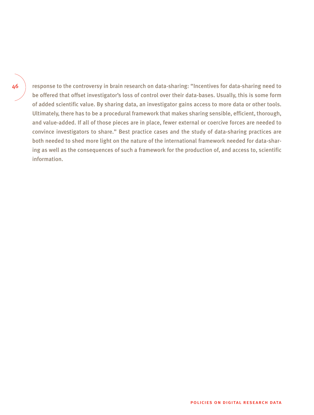46

response to the controversy in brain research on data-sharing: "Incentives for data-sharing need to be offered that offset investigator's loss of control over their data-bases. Usually, this is some form of added scientific value. By sharing data, an investigator gains access to more data or other tools. Ultimately, there has to be a procedural framework that makes sharing sensible, efficient, thorough, and value-added. If all of those pieces are in place, fewer external or coercive forces are needed to convince investigators to share." Best practice cases and the study of data-sharing practices are both needed to shed more light on the nature of the international framework needed for data-sharing as well as the consequences of such a framework for the production of, and access to, scientific information.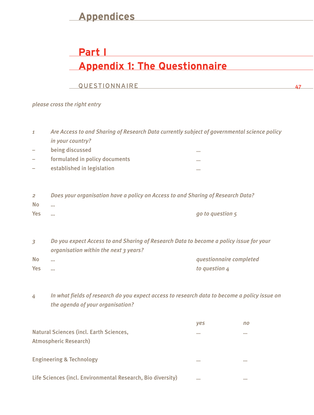## **Appendices**

# **Part I Appendix 1: The Questionnaire**

47

### **QUESTIONNAIRE**

*please cross the right entry*

| $\mathbf{1}$   | Are Access to and Sharing of Research Data currently subject of governmental science policy |                         |  |
|----------------|---------------------------------------------------------------------------------------------|-------------------------|--|
|                | in your country?                                                                            |                         |  |
|                | being discussed                                                                             | 0.0.0                   |  |
|                | formulated in policy documents                                                              |                         |  |
|                | established in legislation                                                                  |                         |  |
|                |                                                                                             |                         |  |
|                |                                                                                             |                         |  |
| $\overline{2}$ | Does your organisation have a policy on Access to and Sharing of Research Data?             |                         |  |
| <b>No</b>      | $\sim$                                                                                      |                         |  |
| <b>Yes</b>     | $\cdots$                                                                                    | go to question 5        |  |
|                |                                                                                             |                         |  |
|                |                                                                                             |                         |  |
| 3              | Do you expect Access to and Sharing of Research Data to become a policy issue for your      |                         |  |
|                | organisation within the next 3 years?                                                       |                         |  |
| <b>No</b>      | $\cdots$                                                                                    | questionnaire completed |  |
| Yes            |                                                                                             | to question 4           |  |
|                |                                                                                             |                         |  |

*4 In what fields of research do you expect access to research data to become a policy issue on the agenda of your organisation?* 

|                                                                  | <b>ves</b> | no     |
|------------------------------------------------------------------|------------|--------|
| Natural Sciences (incl. Earth Sciences,<br>Atmospheric Research) | 0.0.0      | 0.0.0  |
| <b>Engineering &amp; Technology</b>                              | 0.0.0      | 0.0.0  |
| Life Sciences (incl. Environmental Research, Bio diversity)      | 0.0.0      | $-0.0$ |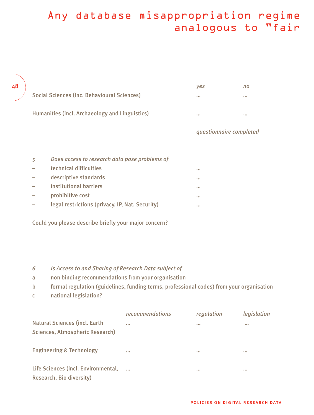# Any database misappropriation regime analogous to "fair

| 48 |                                                | <b>ves</b> | no    |
|----|------------------------------------------------|------------|-------|
|    | Social Sciences (Inc. Behavioural Sciences)    | 0.0.0      | 0.0.0 |
|    | Humanities (incl. Archaeology and Linguistics) | 0.0.0      | 0.0.0 |

### *questionnaire completed*

| 5                        | Does access to research data pose problems of   |       |
|--------------------------|-------------------------------------------------|-------|
| $\overline{\phantom{0}}$ | technical difficulties                          | 0.001 |
| $\equiv$                 | descriptive standards                           | 0.0.0 |
|                          | institutional barriers                          | 0.001 |
| $\overline{\phantom{0}}$ | prohibitive cost                                | 0.0.0 |
| $\sim$                   | legal restrictions (privacy, IP, Nat. Security) | 0.001 |

Could you please describe briefly your major concern?

#### *6 Is Access to and Sharing of Research Data subject of*

- a non binding recommendations from your organisation
- b formal regulation (guidelines, funding terms, professional codes) from your organisation
- c national legislation?

|                                                                  | recommendations | regulation | legislation |
|------------------------------------------------------------------|-----------------|------------|-------------|
| Natural Sciences (incl. Earth<br>Sciences, Atmospheric Research) | 0.0.0           | 0.0.0      | 0.0.0       |
| <b>Engineering &amp; Technology</b>                              | 0.0.0           | 0.00       | 0.00        |
| Life Sciences (incl. Environmental,<br>Research, Bio diversity)  |                 | 0.00       | 0.00        |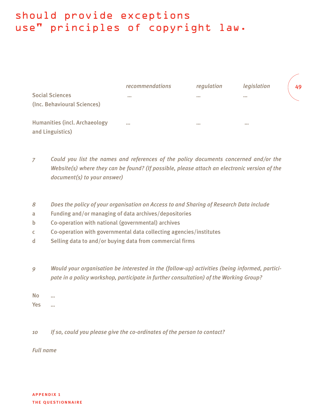# should provide exceptions use" principles of copyright law.

|                                      | recommendations | regulation              | legislation             | 49 |
|--------------------------------------|-----------------|-------------------------|-------------------------|----|
| <b>Social Sciences</b>               | 0.0.0           | $\bullet\bullet\bullet$ | $\bullet\bullet\bullet$ |    |
| (Inc. Behavioural Sciences)          |                 |                         |                         |    |
| <b>Humanities (incl. Archaeology</b> | 0.0.0           | $\bullet\bullet\bullet$ | 0.0.0                   |    |
| and Linguistics)                     |                 |                         |                         |    |

- *7 Could you list the names and references of the policy documents concerned and/or the Website(s) where they can be found? (If possible, please attach an electronic version of the document(s) to your answer)*
- *8 Does the policy of your organisation on Access to and Sharing of Research Data include*
- a Funding and/or managing of data archives/depositories
- b Co-operation with national (governmental) archives
- c Co-operation with governmental data collecting agencies/institutes
- d Selling data to and/or buying data from commercial firms
- *9 Would your organisation be interested in the (follow-up) activities (being informed, participate in a policy workshop, participate in further consultation) of the Working Group?*

No … Yes …

*10 If so, could you please give the co-ordinates of the person to contact?*

*Full name*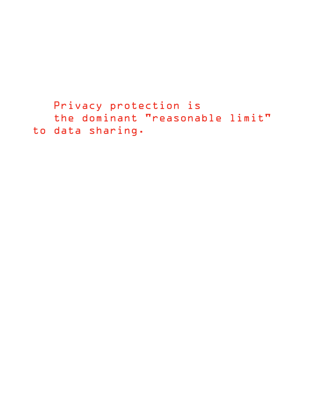```
Privacy protection is 
  the dominant "reasonable limit" 
to data sharing.
```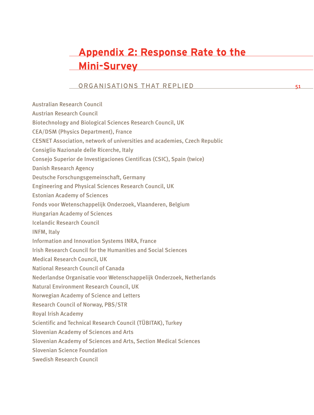# **Appendix 2: Response Rate to the Mini-Survey**

### ORGANISATIONS THAT REPLIED

Australian Research Council Austrian Research Council Biotechnology and Biological Sciences Research Council, UK CEA/DSM (Physics Department), France CESNET Association, network of universities and academies, Czech Republic Consiglio Nazionale delle Ricerche, Italy Consejo Superior de Investigaciones Cientificas (CSIC), Spain (twice) Danish Research Agency Deutsche Forschungsgemeinschaft, Germany Engineering and Physical Sciences Research Council, UK Estonian Academy of Sciences Fonds voor Wetenschappelijk Onderzoek, Vlaanderen, Belgium Hungarian Academy of Sciences Icelandic Research Council INFM, Italy Information and Innovation Systems INRA, France Irish Research Council for the Humanities and Social Sciences Medical Research Council, UK National Research Council of Canada Nederlandse Organisatie voor Wetenschappelijk Onderzoek, Netherlands Natural Environment Research Council, UK Norwegian Academy of Science and Letters Research Council of Norway, PBS/STR Royal Irish Academy Scientific and Technical Research Council (TÜBITAK), Turkey Slovenian Academy of Sciences and Arts Slovenian Academy of Sciences and Arts, Section Medical Sciences Slovenian Science Foundation Swedish Research Council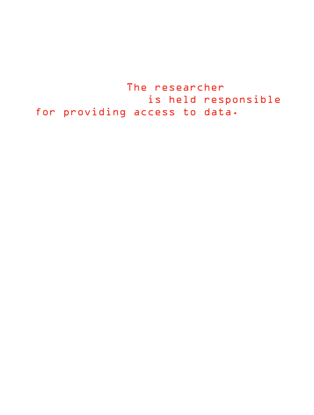The researcher is held responsible for providing access to data.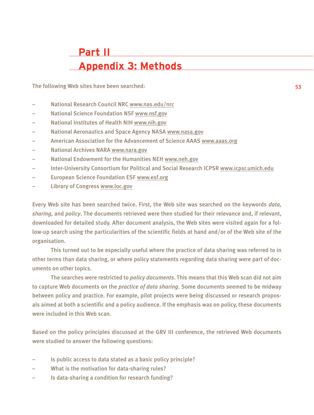# **Part II Appendix 3: Methods**

The following Web sites have been searched:

- National Research Council NRC www.nas.edu/nrc
- National Science Foundation NSF www.nsf.gov
- National Institutes of Health NIH www.nih.gov
- National Aeronautics and Space Agency NASA www.nasa.gov
- American Association for the Advancement of Science AAAS www.aaas.org
- National Archives NARA www.nara.gov
- National Endowment for the Humanities NEH www.neh.gov
- Inter-University Consortium for Political and Social Research ICPSR www.icpsr.umich.edu
- European Science Foundation ESF www.esf.org
- Library of Congress www.loc.gov

Every Web site has been searched twice. First, the Web site was searched on the keywords *data, sharing,* and *policy*. The documents retrieved were then studied for their relevance and, if relevant, downloaded for detailed study. After document analysis, the Web sites were visited again for a follow-up search using the particularities of the scientific fields at hand and/or of the Web site of the organisation.

This turned out to be especially useful where the practice of data sharing was referred to in other terms than data sharing, or where policy statements regarding data sharing were part of documents on other topics.

The searches were restricted to *policy documents*. This means that this Web scan did not aim to capture Web documents on the *practice of data sharing*. Some documents seemed to be midway between policy and practice. For example, pilot projects were being discussed or research proposals aimed at both a scientific and a policy audience. If the emphasis was on policy, these documents were included in this Web scan.

Based on the policy principles discussed at the GRV III conference, the retrieved Web documents were studied to answer the following questions:

- Is public access to data stated as a basic policy principle?
- What is the motivation for data-sharing rules?
- Is data-sharing a condition for research funding?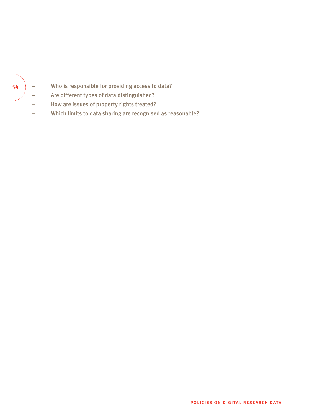## – Who is responsible for providing access to data?

- Are different types of data distinguished?
- How are issues of property rights treated?
- Which limits to data sharing are recognised as reasonable?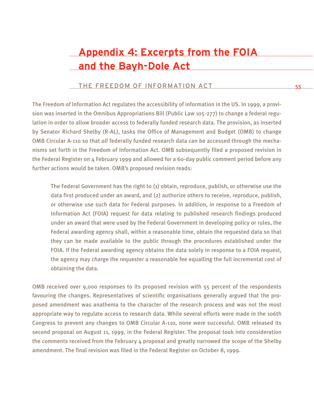# **Appendix 4: Excerpts from the FOIA and the Bayh-Dole Act**

#### THE FREEDOM OF INFORMATION ACT

The Freedom of Information Act regulates the accessibility of information in the US. In 1999, a provision was inserted in the Omnibus Appropriations Bill (Public Law 105-277) to change a federal regulation in order to allow broader access to federally funded research data. The provision, as inserted by Senator Richard Shelby (R-AL), tasks the Office of Management and Budget (OMB) to change OMB Circular A-110 so that *all* federally funded research data can be accessed through the mechanisms set forth in the Freedom of Information Act. OMB subsequently filed a proposed revision in the Federal Register on 4 February 1999 and allowed for a 60-day public comment period before any further actions would be taken. OMB's proposed revision reads:

The Federal Government has the right to (1) obtain, reproduce, publish, or otherwise use the data first produced under an award, and (2) authorize others to receive, reproduce, publish, or otherwise use such data for Federal purposes. In addition, in response to a Freedom of Information Act (FOIA) request for data relating to published research findings produced under an award that were used by the Federal Government in developing policy or rules, the Federal awarding agency shall, within a reasonable time, obtain the requested data so that they can be made available to the public through the procedures established under the FOIA. If the Federal awarding agency obtains the data solely in response to a FOIA request, the agency may charge the requester a reasonable fee equalling the full incremental cost of obtaining the data.

OMB received over 9,000 responses to its proposed revision with 55 percent of the respondents favouring the changes. Representatives of scientific organisations generally argued that the proposed amendment was anathema to the character of the research process and was not the most appropriate way to regulate access to research data. While several efforts were made in the 106th Congress to prevent any changes to OMB Circular A-110, none were successful. OMB released its second proposal on August 11, 1999, in the Federal Register. The proposal took into consideration the comments received from the February  $\Delta$  proposal and greatly narrowed the scope of the Shelby amendment. The final revision was filed in the Federal Register on October 8, 1999.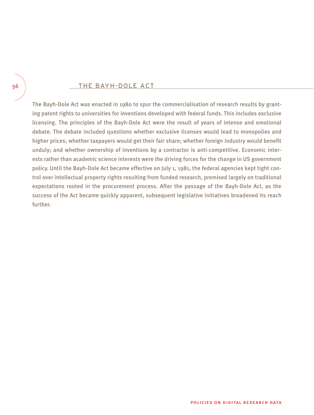#### THE BAYH-DOLE ACT

The Bayh-Dole Act was enacted in 1980 to spur the commercialisation of research results by granting patent rights to universities for inventions developed with federal funds. This includes exclusive licensing. The principles of the Bayh-Dole Act were the result of years of intense and emotional debate. The debate included questions whether exclusive licenses would lead to monopolies and higher prices; whether taxpayers would get their fair share; whether foreign industry would benefit unduly; and whether ownership of inventions by a contractor is anti-competitive. Economic interests rather than academic science interests were the driving forces for the change in US government policy. Until the Bayh-Dole Act became effective on July 1, 1981, the federal agencies kept tight control over intellectual property rights resulting from funded research, premised largely on traditional expectations rooted in the procurement process. After the passage of the Bayh-Dole Act, as the success of the Act became quickly apparent, subsequent legislative initiatives broadened its reach further.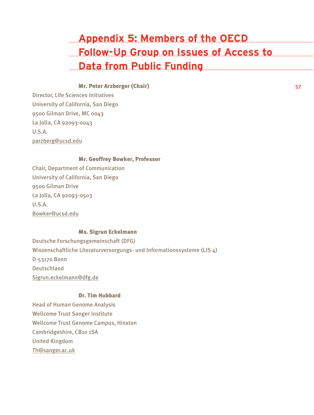# **Appendix 5: Members of the OECD Follow-Up Group on Issues of Access to Data from Public Funding**

#### Mr. Peter Arzberger (Chair)

Director, Life Sciences Initiatives University of California, San Diego 9500 Gilman Drive, MC 0043 La Jolla, CA 92093-0043  $II S A$ parzberg@ucsd.edu

#### Mr. Geoffrey Bowker, Professor

Chair, Department of Communication University of California, San Diego 9500 Gilman Drive La Jolla, CA 92093-0503 U.S.A. Bowker@ucsd.edu

#### Ms. Sigrun Eckelmann

Deutsche Forschungsgemeinschaft (DFG) Wissenschaftliche Literaturversorgungs- und Informationssysteme (LIS 4) D-53170 Bonn Deutschland Sigrun.eckelmann@dfg.de

#### Dr. Tim Hubbard

Head of Human Genome Analysis Wellcome Trust Sanger Institute Wellcome Trust Genome Campus, Hinxton Cambridgeshire, CB10 1SA United Kingdom Th@sanger.ac.uk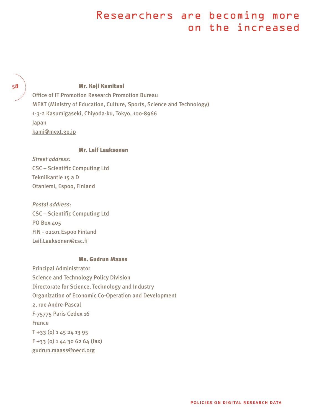# Researchers are becoming more on the increased

#### 58

#### Mr. Koji Kamitani

Office of IT Promotion Research Promotion Bureau MEXT (Ministry of Education, Culture, Sports, Science and Technology) 1-3-2 Kasumigaseki, Chiyoda-ku, Tokyo, 100-8966 Japan kami@mext.go.jp

#### Mr. Leif Laaksonen

*Street address:* CSC – Scientific Computing Ltd Tekniikantie 15 a D Otaniemi, Espoo, Finland

*Postal address:*  CSC – Scientific Computing Ltd PO Box 405 FIN - 02101 Espoo Finland Leif.Laaksonen@csc.fi

#### Ms. Gudrun Maass

Principal Administrator Science and Technology Policy Division Directorate for Science, Technology and Industry Organization of Economic Co-Operation and Development 2, rue Andre-Pascal F-75775 Paris Cedex 16 France T +33 (0) 1 45 24 13 95 F +33 (0) 1 44 30 62 64 (fax) gudrun.maass@oecd.org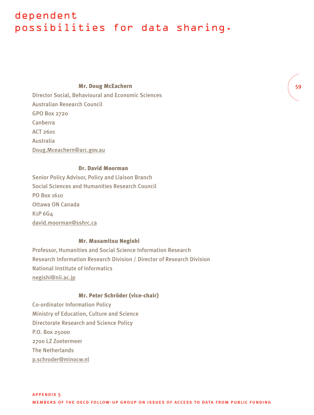## dependent possibilities for data sharing.

#### Mr. Doug McEachern

Director Social, Behavioural and Economic Sciences Australian Research Council GPO Box 2720 Canberra  $ACT 2601$ Australia Doug.Mceachern@arc.gov.au

#### Dr. David Moorman

Senior Policy Advisor, Policy and Liaison Branch Social Sciences and Humanities Research Council PO Box 1610 Ottawa ON Canada K1P 6G4 david.moorman@sshrc.ca

#### Mr. Masamitsu Negishi

Professor, Humanities and Social Science Information Research Research Information Research Division / Director of Research Division National Institute of Informatics negishi@nii.ac.jp

#### Mr. Peter Schröder (vice-chair)

Co-ordinator Information Policy Ministry of Education, Culture and Science Directorate Research and Science Policy P.O. Box 25000 2700 LZ Zoetermeer The Netherlands p.schroder@minocw.nl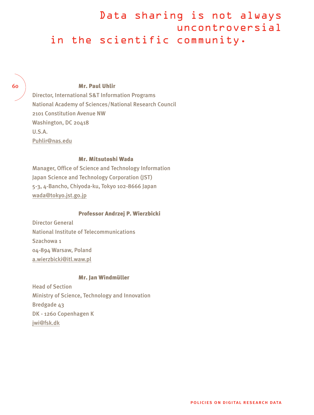## Data sharing is not always uncontroversial in the scientific community.

60

#### Mr. Paul Uhlir

Director, International S&T Information Programs National Academy of Sciences/National Research Council 2101 Constitution Avenue NW Washington, DC 20418  $II S A$ Puhlir@nas.edu

#### Mr. Mitsutoshi Wada

Manager, Office of Science and Technology Information Japan Science and Technology Corporation (JST) 5-3, 4-Bancho, Chiyoda-ku, Tokyo 102-8666 Japan wada@tokyo.jst.go.jp

#### Professor Andrzej P. Wierzbicki

Director General National Institute of Telecommunications Szachowa 1 04-894 Warsaw, Poland a.wierzbicki@itl.waw.pl

#### Mr. Jan Windmüller

Head of Section Ministry of Science, Technology and Innovation Bredgade 43 DK - 1260 Copenhagen K jwi@fsk.dk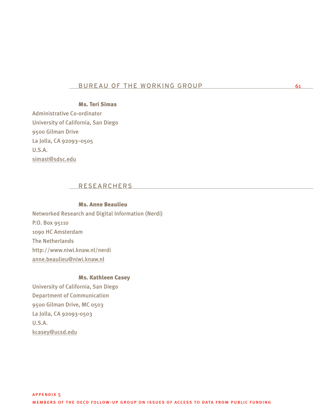#### BURFAU OF THE WORKING GROUP 61

## Ms. Teri Simas

Administrative Co-ordinator University of California, San Diego 9500 Gilman Drive La Jolla, CA 92093–0505 U.S.A. simast@sdsc.edu

### RESEARCHERS

#### Ms. Anne Beaulieu

Networked Research and Digital Information (Nerdi) P.O. Box 95110 1090 HC Amsterdam The Netherlands http://www.niwi.knaw.nl/nerdi anne.beaulieu@niwi.knaw.nl

#### Ms. Kathleen Casey

University of California, San Diego Department of Communication 9500 Gilman Drive, MC 0503 La Jolla, CA 92093-0503 U.S.A. kcasey@ucsd.edu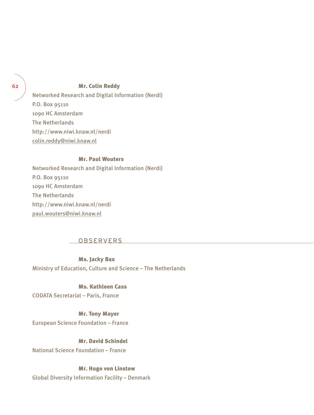#### Mr. Colin Reddy

Networked Research and Digital Information (Nerdi) P.O. Box 95110 1090 HC Amsterdam The Netherlands http://www.niwi.knaw.nl/nerdi colin.reddy@niwi.knaw.nl

#### Mr. Paul Wouters

Networked Research and Digital Information (Nerdi) P.O. Box 95110 1090 HC Amsterdam The Netherlands http://www.niwi.knaw.nl/nerdi paul.wouters@niwi.knaw.nl

#### OBSERVERS

#### Ms. Jacky Bax

Ministry of Education, Culture and Science – The Netherlands

#### Ms. Kathleen Cass

CODATA Secretariat – Paris, France

#### Mr. Tony Mayer

European Science Foundation – France

## Mr. David Schindel

National Science Foundation – France

#### Mr. Hugo von Linstow

Global Diversity Information Facility – Denmark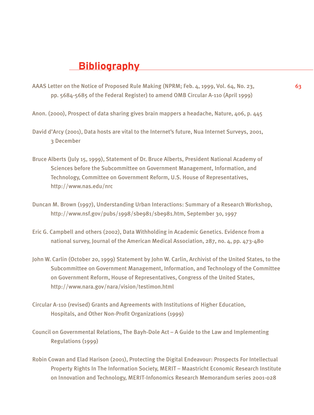## **Bibliography**

- AAAS Letter on the Notice of Proposed Rule Making (NPRM; Feb. 4, 1999, Vol. 64, No. 23, 63 pp. 5684-5685 of the Federal Register) to amend OMB Circular A-110 (April 1999)
- Anon. (2000), Prospect of data sharing gives brain mappers a headache, Nature, 406, p. 445
- David d'Arcy (2001), Data hosts are vital to the Internet's future, Nua Internet Surveys, 2001, 3 December
- Bruce Alberts (July 15, 1999), Statement of Dr. Bruce Alberts, President National Academy of Sciences before the Subcommittee on Government Management, Information, and Technology, Committee on Government Reform, U.S. House of Representatives, http://www.nas.edu/nrc
- Duncan M. Brown (1997), Understanding Urban Interactions: Summary of a Research Workshop, http://www.nsf.gov/pubs/1998/sbe981/sbe981.htm, September 30, 1997
- Eric G. Campbell and others (2002), Data Withholding in Academic Genetics. Evidence from a national survey, Journal of the American Medical Association, 287, no. 4, pp. 473-480
- John W. Carlin (October 20, 1999) Statement by John W. Carlin, Archivist of the United States, to the Subcommittee on Government Management, Information, and Technology of the Committee on Government Reform, House of Representatives, Congress of the United States, http://www.nara.gov/nara/vision/testimon.html
- Circular A-110 (revised) Grants and Agreements with Institutions of Higher Education, Hospitals, and Other Non-Profit Organizations (1999)
- Council on Governmental Relations, The Bayh-Dole Act A Guide to the Law and Implementing Regulations (1999)
- Robin Cowan and Elad Harison (2001), Protecting the Digital Endeavour: Prospects For Intellectual Property Rights In The Information Society, MERIT – Maastricht Economic Research Institute on Innovation and Technology, MERIT-Infonomics Research Memorandum series 2001-028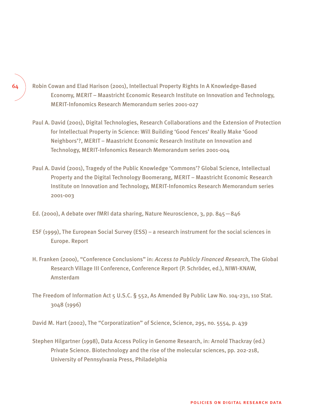- Robin Cowan and Elad Harison (2001), Intellectual Property Rights In A Knowledge-Based Economy, MERIT – Maastricht Economic Research Institute on Innovation and Technology, MERIT-Infonomics Research Memorandum series 2001-027
- Paul A. David (2001), Digital Technologies, Research Collaborations and the Extension of Protection for Intellectual Property in Science: Will Building 'Good Fences' Really Make 'Good Neighbors'?, MERIT – Maastricht Economic Research Institute on Innovation and Technology, MERIT-Infonomics Research Memorandum series 2001-004
- Paul A. David (2001), Tragedy of the Public Knowledge 'Commons'? Global Science, Intellectual Property and the Digital Technology Boomerang, MERIT – Maastricht Economic Research Institute on Innovation and Technology, MERIT-Infonomics Research Memorandum series 2001-003
- Ed. (2000), A debate over fMRI data sharing, Nature Neuroscience, 3, pp. 845—846
- ESF (1999), The European Social Survey (ESS) a research instrument for the social sciences in Europe. Report
- H. Franken (2000), "Conference Conclusions" in: *Access to Publicly Financed Research*, The Global Research Village III Conference, Conference Report (P. Schröder, ed.), NIWI-KNAW, Amsterdam
- The Freedom of Information Act 5 U.S.C. § 552, As Amended By Public Law No. 104-231, 110 Stat. 3048 (1996)
- David M. Hart (2002), The "Corporatization" of Science, Science, 295, no. 5554, p. 439
- Stephen Hilgartner (1998), Data Access Policy in Genome Research, in: Arnold Thackray (ed.) Private Science. Biotechnology and the rise of the molecular sciences, pp. 202-218, University of Pennsylvania Press, Philadelphia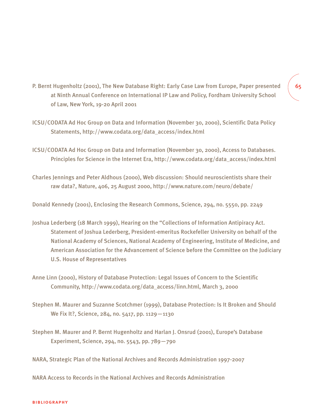- P. Bernt Hugenholtz (2001), The New Database Right: Early Case Law from Europe, Paper presented at Ninth Annual Conference on International IP Law and Policy, Fordham University School of Law, New York, 19-20 April 2001
- ICSU/CODATA Ad Hoc Group on Data and Information (November 30, 2000), Scientific Data Policy Statements, http://www.codata.org/data\_access/index.html
- ICSU/CODATA Ad Hoc Group on Data and Information (November 30, 2000), Access to Databases. Principles for Science in the Internet Era, http://www.codata.org/data\_access/index.html
- Charles Jennings and Peter Aldhous (2000), Web discussion: Should neuroscientists share their raw data?, Nature, 406, 25 August 2000, http://www.nature.com/neuro/debate/

Donald Kennedy (2001), Enclosing the Research Commons, Science, 294, no. 5550, pp. 2249

- Joshua Lederberg (18 March 1999), Hearing on the "Collections of Information Antipiracy Act. Statement of Joshua Lederberg, President-emeritus Rockefeller University on behalf of the National Academy of Sciences, National Academy of Engineering, Institute of Medicine, and American Association for the Advancement of Science before the Committee on the Judiciary U.S. House of Representatives
- Anne Linn (2000), History of Database Protection: Legal Issues of Concern to the Scientific Community, http://www.codata.org/data\_access/linn.html, March 3, 2000
- Stephen M. Maurer and Suzanne Scotchmer (1999), Database Protection: Is It Broken and Should We Fix It?, Science, 284, no. 5417, pp. 1129—1130
- Stephen M. Maurer and P. Bernt Hugenholtz and Harlan J. Onsrud (2001), Europe's Database Experiment, Science, 294, no. 5543, pp. 789—790

NARA, Strategic Plan of the National Archives and Records Administration 1997-2007

NARA Access to Records in the National Archives and Records Administration

## 65

#### bibliography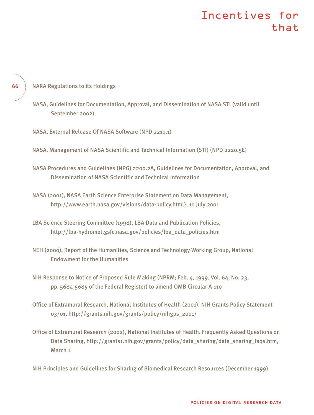# Incentives for that

NARA Regulations to its Holdings

66

NASA, Guidelines for Documentation, Approval, and Dissemination of NASA STI (valid until September 2002)

NASA, External Release Of NASA Software (NPD 2210.1)

NASA, Management of NASA Scientific and Technical Information (STI) (NPD 2220.5E)

- NASA Procedures and Guidelines (NPG) 2200.2A, Guidelines for Documentation, Approval, and Dissemination of NASA Scientific and Technical Information
- NASA (2001), NASA Earth Science Enterprise Statement on Data Management, http://www.earth.nasa.gov/visions/data-policy.html}, 10 July 2001
- LBA Science Steering Committee (1998), LBA Data and Publication Policies, http://lba-hydromet.gsfc.nasa.gov/policies/lba\_data\_policies.htm
- NEH (2000), Report of the Humanities, Science and Technology Working Group, National Endowment for the Humanities
- NIH Response to Notice of Proposed Rule Making (NPRM; Feb. 4, 1999, Vol. 64, No. 23, pp. 5684-5685 of the Federal Register) to amend OMB Circular A-110
- Office of Extramural Research, National Institutes of Health (2001), NIH Grants Policy Statement 03/01, http://grants.nih.gov/grants/policy/nihgps\_2001/
- Office of Extramural Research (2002), National Institutes of Health. Frequently Asked Questions on Data Sharing, http://grants1.nih.gov/grants/policy/data\_sharing/data\_sharing\_faqs.htm, March 1

NIH Principles and Guidelines for Sharing of Biomedical Research Resources (December 1999)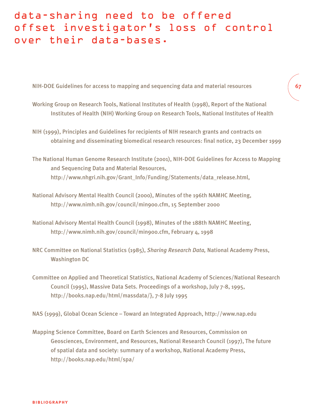# data-sharing need to be offered offset investigator's loss of control over their data-bases.

NIH-DOE Guidelines for access to mapping and sequencing data and material resources

Working Group on Research Tools, National Institutes of Health (1998), Report of the National Institutes of Health (NIH) Working Group on Research Tools, National Institutes of Health 67

- NIH (1999), Principles and Guidelines for recipients of NIH research grants and contracts on obtaining and disseminating biomedical research resources: final notice, 23 December 1999
- The National Human Genome Research Institute (2001), NIH-DOE Guidelines for Access to Mapping and Sequencing Data and Material Resources, http://www.nhgri.nih.gov/Grant\_Info/Funding/Statements/data\_release.html,
- National Advisory Mental Health Council (2000), Minutes of the 196th NAMHC Meeting, http://www.nimh.nih.gov/council/min900.cfm, 15 September 2000
- National Advisory Mental Health Council (1998), Minutes of the 188th NAMHC Meeting, http://www.nimh.nih.gov/council/min900.cfm, February 4, 1998
- NRC Committee on National Statistics (1985), *Sharing Research Data,* National Academy Press, Washington DC
- Committee on Applied and Theoretical Statistics, National Academy of Sciences/National Research Council (1995), Massive Data Sets. Proceedings of a workshop, July 7-8, 1995, http://books.nap.edu/html/massdata/}, 7-8 July 1995

NAS (1999), Global Ocean Science – Toward an Integrated Approach, http://www.nap.edu

Mapping Science Committee, Board on Earth Sciences and Resources, Commission on Geosciences, Environment, and Resources, National Research Council (1997), The future of spatial data and society: summary of a workshop, National Academy Press, http://books.nap.edu/html/spa/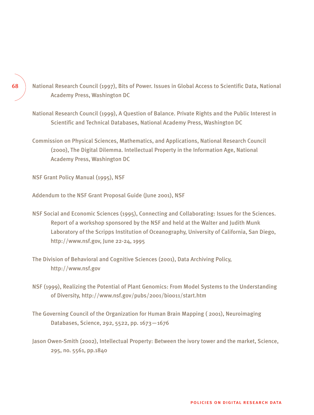- National Research Council (1997), Bits of Power. Issues in Global Access to Scientific Data, National Academy Press, Washington DC
- National Research Council (1999), A Question of Balance. Private Rights and the Public Interest in Scientific and Technical Databases, National Academy Press, Washington DC
- Commission on Physical Sciences, Mathematics, and Applications, National Research Council (2000), The Digital Dilemma. Intellectual Property in the Information Age, National Academy Press, Washington DC

NSF Grant Policy Manual (1995), NSF

Addendum to the NSF Grant Proposal Guide (June 2001), NSF

- NSF Social and Economic Sciences (1995), Connecting and Collaborating: Issues for the Sciences. Report of a workshop sponsored by the NSF and held at the Walter and Judith Munk Laboratory of the Scripps Institution of Oceanography, University of California, San Diego, http://www.nsf.gov, June 22-24, 1995
- The Division of Behavioral and Cognitive Sciences (2001), Data Archiving Policy, http://www.nsf.gov
- NSF (1999), Realizing the Potential of Plant Genomics: From Model Systems to the Understanding of Diversity, http://www.nsf.gov/pubs/2001/bio011/start.htm
- The Governing Council of the Organization for Human Brain Mapping ( 2001), Neuroimaging Databases, Science, 292, 5522, pp. 1673—1676
- Jason Owen-Smith (2002), Intellectual Property: Between the ivory tower and the market, Science, 295, no. 5561, pp.1840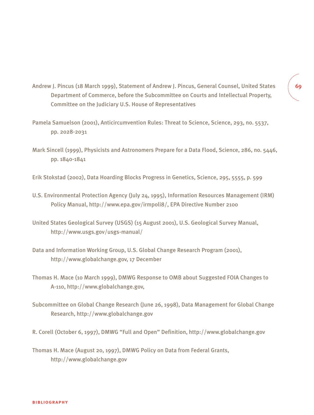- Andrew J. Pincus (18 March 1999), Statement of Andrew J. Pincus, General Counsel, United States Department of Commerce, before the Subcommittee on Courts and Intellectual Property, Committee on the Judiciary U.S. House of Representatives
- Pamela Samuelson (2001), Anticircumvention Rules: Threat to Science, Science, 293, no. 5537, pp. 2028-2031
- Mark Sincell (1999), Physicists and Astronomers Prepare for a Data Flood, Science, 286, no. 5446, pp. 1840-1841
- Erik Stokstad (2002), Data Hoarding Blocks Progress in Genetics, Science, 295, 5555, p. 599
- U.S. Environmental Protection Agency (July 24, 1995), Information Resources Management (IRM) Policy Manual, http://www.epa.gov/irmpoli8/, EPA Directive Number 2100
- United States Geological Survey (USGS) (15 August 2001), U.S. Geological Survey Manual, http://www.usgs.gov/usgs-manual/
- Data and Information Working Group, U.S. Global Change Research Program (2001), http://www.globalchange.gov, 17 December
- Thomas H. Mace (10 March 1999), DMWG Response to OMB about Suggested FOIA Changes to A-110, http://www.globalchange.gov,
- Subcommittee on Global Change Research (June 26, 1998), Data Management for Global Change Research, http://www.globalchange.gov
- R. Corell (October 6, 1997), DMWG "Full and Open" Definition, http://www.globalchange.gov

Thomas H. Mace (August 20, 1997), DMWG Policy on Data from Federal Grants, http://www.globalchange.gov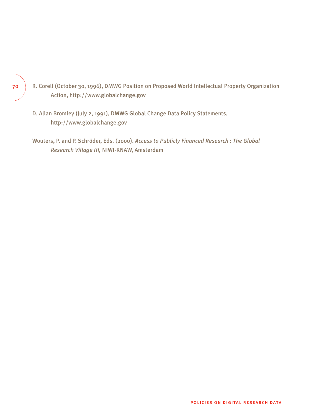- R. Corell (October 30, 1996), DMWG Position on Proposed World Intellectual Property Organization Action, http://www.globalchange.gov
- D. Allan Bromley (July 2, 1991), DMWG Global Change Data Policy Statements, http://www.globalchange.gov
- Wouters, P. and P. Schröder, Eds. (2000). *Access to Publicly Financed Research : The Global Research Village III,* NIWI-KNAW, Amsterdam